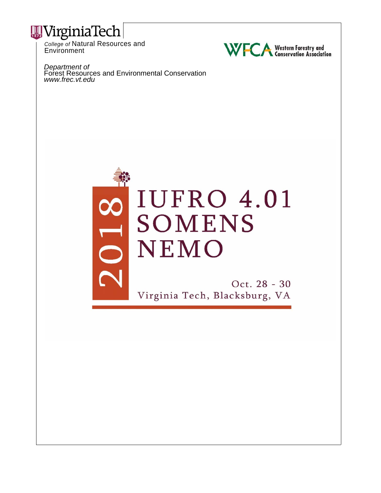

**Environment** 



*Department of* Forest Resources and Environmental Conservation *www.frec.vt.edu*



Oct. 28 - 30 Virginia Tech, Blacksburg, VA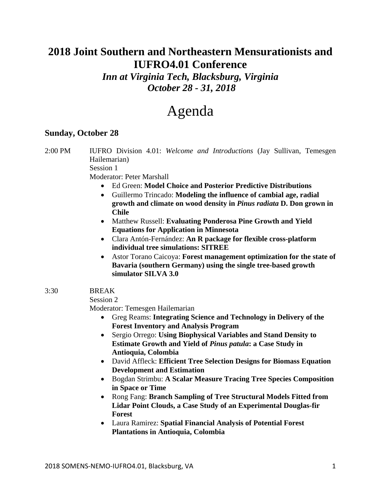## **2018 Joint Southern and Northeastern Mensurationists and IUFRO4.01 Conference**

*Inn at Virginia Tech, Blacksburg, Virginia October 28 - 31, 2018* 

# Agenda

## **Sunday, October 28**

2:00 PM IUFRO Division 4.01: *Welcome and Introductions* (Jay Sullivan, Temesgen Hailemarian)

Session 1

Moderator: Peter Marshall

- Ed Green: **Model Choice and Posterior Predictive Distributions**
- Guillermo Trincado: **Modeling the influence of cambial age, radial growth and climate on wood density in** *Pinus radiata* **D. Don grown in Chile**
- Matthew Russell: **Evaluating Ponderosa Pine Growth and Yield Equations for Application in Minnesota**
- Clara Antón-Fernández: **An R package for flexible cross-platform individual tree simulations: SITREE**
- Astor Torano Caicoya: **Forest management optimization for the state of Bavaria (southern Germany) using the single tree-based growth simulator SILVA 3.0**
- 3:30 BREAK

Session 2

Moderator: Temesgen Hailemarian

- Greg Reams: **Integrating Science and Technology in Delivery of the Forest Inventory and Analysis Program**
- Sergio Orrego: **Using Biophysical Variables and Stand Density to Estimate Growth and Yield of** *Pinus patula***: a Case Study in Antioquia, Colombia**
- David Affleck: **Efficient Tree Selection Designs for Biomass Equation Development and Estimation**
- Bogdan Strimbu: **A Scalar Measure Tracing Tree Species Composition in Space or Time**
- Rong Fang: **Branch Sampling of Tree Structural Models Fitted from Lidar Point Clouds, a Case Study of an Experimental Douglas-fir Forest**
- Laura Ramirez: **Spatial Financial Analysis of Potential Forest Plantations in Antioquia, Colombia**

2018 SOMENS‐NEMO‐IUFRO4.01, Blacksburg, VA 1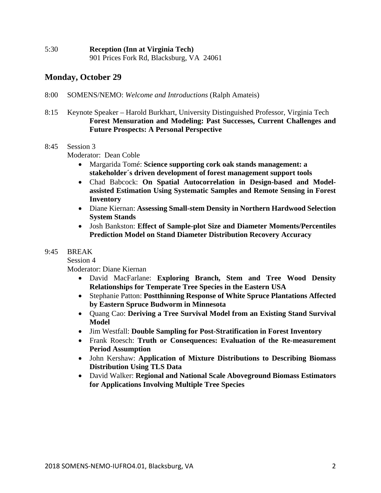#### **Monday, October 29**

#### 8:00 SOMENS/NEMO: *Welcome and Introductions* (Ralph Amateis)

8:15 Keynote Speaker – Harold Burkhart, University Distinguished Professor, Virginia Tech **Forest Mensuration and Modeling: Past Successes, Current Challenges and Future Prospects: A Personal Perspective** 

#### 8:45 Session 3

Moderator: Dean Coble

- Margarida Tomé: **Science supporting cork oak stands management: a stakeholder´s driven development of forest management support tools**
- Chad Babcock: **On Spatial Autocorrelation in Design-based and Modelassisted Estimation Using Systematic Samples and Remote Sensing in Forest Inventory**
- Diane Kiernan: **Assessing Small-stem Density in Northern Hardwood Selection System Stands**
- Josh Bankston: **Effect of Sample-plot Size and Diameter Moments/Percentiles Prediction Model on Stand Diameter Distribution Recovery Accuracy**

#### 9:45 BREAK

Session 4

Moderator: Diane Kiernan

- David MacFarlane: **Exploring Branch, Stem and Tree Wood Density Relationships for Temperate Tree Species in the Eastern USA**
- Stephanie Patton: **Postthinning Response of White Spruce Plantations Affected by Eastern Spruce Budworm in Minnesota**
- Quang Cao: **Deriving a Tree Survival Model from an Existing Stand Survival Model**
- Jim Westfall: **Double Sampling for Post-Stratification in Forest Inventory**
- Frank Roesch: **Truth or Consequences: Evaluation of the Re-measurement Period Assumption**
- John Kershaw: **Application of Mixture Distributions to Describing Biomass Distribution Using TLS Data**
- David Walker: **Regional and National Scale Aboveground Biomass Estimators for Applications Involving Multiple Tree Species**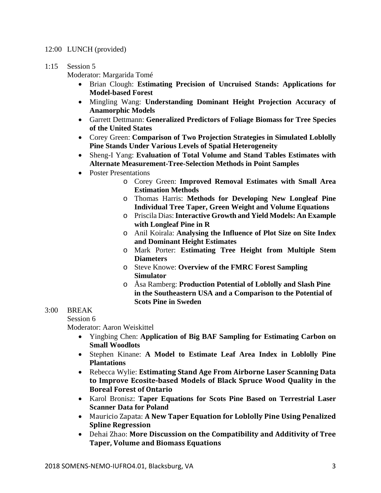#### 12:00 LUNCH (provided)

#### 1:15 Session 5

Moderator: Margarida Tomé

- Brian Clough: **Estimating Precision of Uncruised Stands: Applications for Model-based Forest**
- Mingling Wang: **Understanding Dominant Height Projection Accuracy of Anamorphic Models**
- Garrett Dettmann: **Generalized Predictors of Foliage Biomass for Tree Species of the United States**
- Corey Green: **Comparison of Two Projection Strategies in Simulated Loblolly Pine Stands Under Various Levels of Spatial Heterogeneity**
- Sheng-I Yang: **Evaluation of Total Volume and Stand Tables Estimates with Alternate Measurement-Tree-Selection Methods in Point Samples**
- Poster Presentations
	- o Corey Green: **Improved Removal Estimates with Small Area Estimation Methods**
	- o Thomas Harris: **Methods for Developing New Longleaf Pine Individual Tree Taper, Green Weight and Volume Equations**
	- o Priscila Dias: **Interactive Growth and Yield Models: An Example with Longleaf Pine in R**
	- o Anil Koirala: **Analysing the Influence of Plot Size on Site Index and Dominant Height Estimates**
	- o Mark Porter: **Estimating Tree Height from Multiple Stem Diameters**
	- o Steve Knowe: **Overview of the FMRC Forest Sampling Simulator**
	- o Åsa Ramberg: **Production Potential of Loblolly and Slash Pine in the Southeastern USA and a Comparison to the Potential of Scots Pine in Sweden**

#### 3:00 BREAK

 Session 6 Moderator: Aaron Weiskittel

- Yingbing Chen: **Application of Big BAF Sampling for Estimating Carbon on Small Woodlots**
- Stephen Kinane: **A Model to Estimate Leaf Area Index in Loblolly Pine Plantations**
- Rebecca Wylie: **Estimating Stand Age From Airborne Laser Scanning Data to Improve Ecosite‐based Models of Black Spruce Wood Quality in the Boreal Forest of Ontario**
- Karol Bronisz: **Taper Equations for Scots Pine Based on Terrestrial Laser Scanner Data for Poland**
- Mauricio Zapata: **A New Taper Equation for Loblolly Pine Using Penalized Spline Regression**
- Dehai Zhao: **More Discussion on the Compatibility and Additivity of Tree Taper, Volume and Biomass Equations**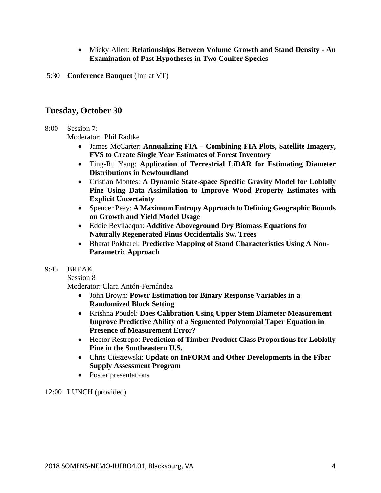- Micky Allen: **Relationships Between Volume Growth and Stand Density An Examination of Past Hypotheses in Two Conifer Species**
- 5:30 **Conference Banquet** (Inn at VT)

#### **Tuesday, October 30**

#### 8:00 Session 7:

Moderator: Phil Radtke

- James McCarter: **Annualizing FIA Combining FIA Plots, Satellite Imagery, FVS to Create Single Year Estimates of Forest Inventory**
- Ting-Ru Yang: **Application of Terrestrial LiDAR for Estimating Diameter Distributions in Newfoundland**
- Cristian Montes: **A Dynamic State-space Specific Gravity Model for Loblolly Pine Using Data Assimilation to Improve Wood Property Estimates with Explicit Uncertainty**
- Spencer Peay: **A Maximum Entropy Approach to Defining Geographic Bounds on Growth and Yield Model Usage**
- Eddie Bevilacqua: **Additive Aboveground Dry Biomass Equations for Naturally Regenerated Pinus Occidentalis Sw. Trees**
- Bharat Pokharel: **Predictive Mapping of Stand Characteristics Using A Non-Parametric Approach**

#### 9:45 BREAK

Session 8

Moderator: Clara Antón-Fernández

- John Brown: **Power Estimation for Binary Response Variables in a Randomized Block Setting**
- Krishna Poudel: **Does Calibration Using Upper Stem Diameter Measurement Improve Predictive Ability of a Segmented Polynomial Taper Equation in Presence of Measurement Error?**
- Hector Restrepo: **Prediction of Timber Product Class Proportions for Loblolly Pine in the Southeastern U.S.**
- Chris Cieszewski: **Update on InFORM and Other Developments in the Fiber Supply Assessment Program**
- Poster presentations

12:00 LUNCH (provided)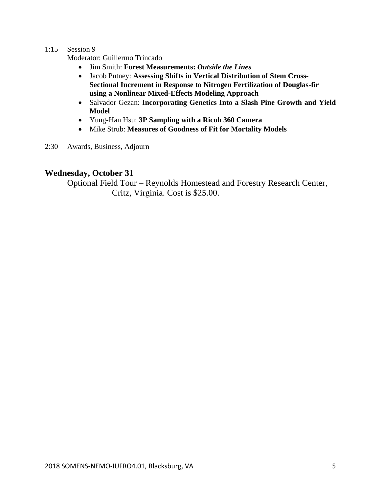#### 1:15 Session 9

Moderator: Guillermo Trincado

- Jim Smith: **Forest Measurements:** *Outside the Lines*
- Jacob Putney: **Assessing Shifts in Vertical Distribution of Stem Cross-Sectional Increment in Response to Nitrogen Fertilization of Douglas-fir using a Nonlinear Mixed-Effects Modeling Approach**
- Salvador Gezan: **Incorporating Genetics Into a Slash Pine Growth and Yield Model**
- Yung-Han Hsu: **3P Sampling with a Ricoh 360 Camera**
- Mike Strub: **Measures of Goodness of Fit for Mortality Models**
- 2:30 Awards, Business, Adjourn

#### **Wednesday, October 31**

Optional Field Tour – Reynolds Homestead and Forestry Research Center, Critz, Virginia. Cost is \$25.00.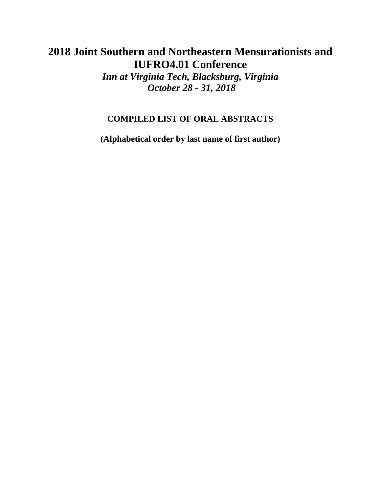## **2018 Joint Southern and Northeastern Mensurationists and IUFRO4.01 Conference**

*Inn at Virginia Tech, Blacksburg, Virginia October 28 - 31, 2018* 

## **COMPILED LIST OF ORAL ABSTRACTS**

**(Alphabetical order by last name of first author)**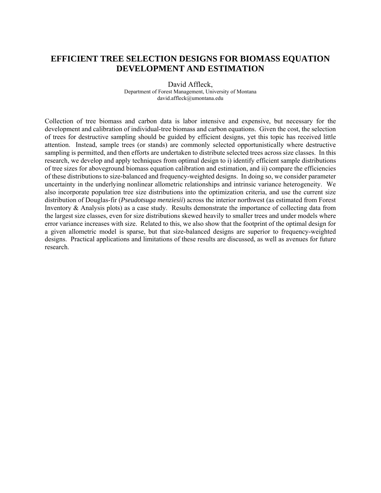## **EFFICIENT TREE SELECTION DESIGNS FOR BIOMASS EQUATION DEVELOPMENT AND ESTIMATION**

David Affleck, Department of Forest Management, University of Montana david.affleck@umontana.edu

Collection of tree biomass and carbon data is labor intensive and expensive, but necessary for the development and calibration of individual-tree biomass and carbon equations. Given the cost, the selection of trees for destructive sampling should be guided by efficient designs, yet this topic has received little attention. Instead, sample trees (or stands) are commonly selected opportunistically where destructive sampling is permitted, and then efforts are undertaken to distribute selected trees across size classes. In this research, we develop and apply techniques from optimal design to i) identify efficient sample distributions of tree sizes for aboveground biomass equation calibration and estimation, and ii) compare the efficiencies of these distributions to size-balanced and frequency-weighted designs. In doing so, we consider parameter uncertainty in the underlying nonlinear allometric relationships and intrinsic variance heterogeneity. We also incorporate population tree size distributions into the optimization criteria, and use the current size distribution of Douglas-fir (*Pseudotsuga menziesii*) across the interior northwest (as estimated from Forest Inventory & Analysis plots) as a case study. Results demonstrate the importance of collecting data from the largest size classes, even for size distributions skewed heavily to smaller trees and under models where error variance increases with size. Related to this, we also show that the footprint of the optimal design for a given allometric model is sparse, but that size-balanced designs are superior to frequency-weighted designs. Practical applications and limitations of these results are discussed, as well as avenues for future research.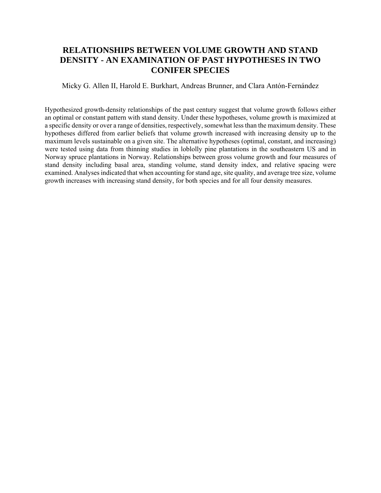## **RELATIONSHIPS BETWEEN VOLUME GROWTH AND STAND DENSITY - AN EXAMINATION OF PAST HYPOTHESES IN TWO CONIFER SPECIES**

Micky G. Allen II, Harold E. Burkhart, Andreas Brunner, and Clara Antón-Fernández

Hypothesized growth-density relationships of the past century suggest that volume growth follows either an optimal or constant pattern with stand density. Under these hypotheses, volume growth is maximized at a specific density or over a range of densities, respectively, somewhat less than the maximum density. These hypotheses differed from earlier beliefs that volume growth increased with increasing density up to the maximum levels sustainable on a given site. The alternative hypotheses (optimal, constant, and increasing) were tested using data from thinning studies in loblolly pine plantations in the southeastern US and in Norway spruce plantations in Norway. Relationships between gross volume growth and four measures of stand density including basal area, standing volume, stand density index, and relative spacing were examined. Analyses indicated that when accounting for stand age, site quality, and average tree size, volume growth increases with increasing stand density, for both species and for all four density measures.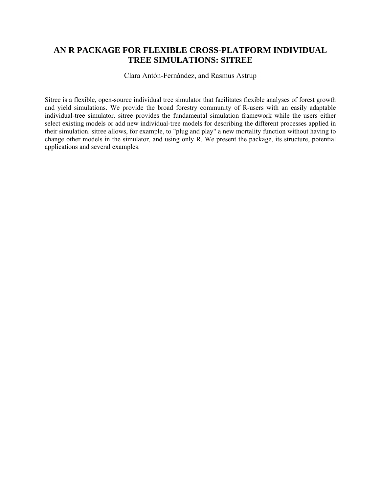#### **AN R PACKAGE FOR FLEXIBLE CROSS-PLATFORM INDIVIDUAL TREE SIMULATIONS: SITREE**

Clara Antón-Fernández, and Rasmus Astrup

Sitree is a flexible, open-source individual tree simulator that facilitates flexible analyses of forest growth and yield simulations. We provide the broad forestry community of R-users with an easily adaptable individual-tree simulator. sitree provides the fundamental simulation framework while the users either select existing models or add new individual-tree models for describing the different processes applied in their simulation. sitree allows, for example, to "plug and play" a new mortality function without having to change other models in the simulator, and using only R. We present the package, its structure, potential applications and several examples.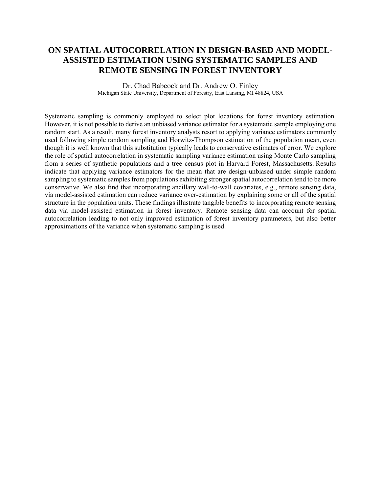#### **ON SPATIAL AUTOCORRELATION IN DESIGN-BASED AND MODEL-ASSISTED ESTIMATION USING SYSTEMATIC SAMPLES AND REMOTE SENSING IN FOREST INVENTORY**

Dr. Chad Babcock and Dr. Andrew O. Finley Michigan State University, Department of Forestry, East Lansing, MI 48824, USA

Systematic sampling is commonly employed to select plot locations for forest inventory estimation. However, it is not possible to derive an unbiased variance estimator for a systematic sample employing one random start. As a result, many forest inventory analysts resort to applying variance estimators commonly used following simple random sampling and Horwitz-Thompson estimation of the population mean, even though it is well known that this substitution typically leads to conservative estimates of error. We explore the role of spatial autocorrelation in systematic sampling variance estimation using Monte Carlo sampling from a series of synthetic populations and a tree census plot in Harvard Forest, Massachusetts. Results indicate that applying variance estimators for the mean that are design-unbiased under simple random sampling to systematic samples from populations exhibiting stronger spatial autocorrelation tend to be more conservative. We also find that incorporating ancillary wall-to-wall covariates, e.g., remote sensing data, via model-assisted estimation can reduce variance over-estimation by explaining some or all of the spatial structure in the population units. These findings illustrate tangible benefits to incorporating remote sensing data via model-assisted estimation in forest inventory. Remote sensing data can account for spatial autocorrelation leading to not only improved estimation of forest inventory parameters, but also better approximations of the variance when systematic sampling is used.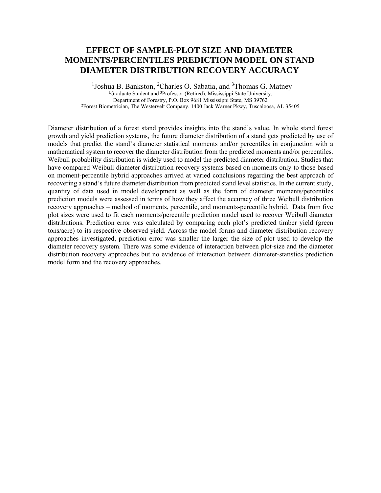#### **EFFECT OF SAMPLE-PLOT SIZE AND DIAMETER MOMENTS/PERCENTILES PREDICTION MODEL ON STAND DIAMETER DISTRIBUTION RECOVERY ACCURACY**

<sup>1</sup> Joshua B. Bankston, <sup>2</sup>Charles O. Sabatia, and <sup>3</sup>Thomas G. Matney <sup>1</sup>Graduate Student and <sup>3</sup>Professor (Retired), Mississippi State University, Department of Forestry, P.O. Box 9681 Mississippi State, MS 39762 2Forest Biometrician, The Westervelt Company, 1400 Jack Warner Pkwy, Tuscaloosa, AL 35405

Diameter distribution of a forest stand provides insights into the stand's value. In whole stand forest growth and yield prediction systems, the future diameter distribution of a stand gets predicted by use of models that predict the stand's diameter statistical moments and/or percentiles in conjunction with a mathematical system to recover the diameter distribution from the predicted moments and/or percentiles. Weibull probability distribution is widely used to model the predicted diameter distribution. Studies that have compared Weibull diameter distribution recovery systems based on moments only to those based on moment-percentile hybrid approaches arrived at varied conclusions regarding the best approach of recovering a stand's future diameter distribution from predicted stand level statistics. In the current study, quantity of data used in model development as well as the form of diameter moments/percentiles prediction models were assessed in terms of how they affect the accuracy of three Weibull distribution recovery approaches – method of moments, percentile, and moments-percentile hybrid. Data from five plot sizes were used to fit each moments/percentile prediction model used to recover Weibull diameter distributions. Prediction error was calculated by comparing each plot's predicted timber yield (green tons/acre) to its respective observed yield. Across the model forms and diameter distribution recovery approaches investigated, prediction error was smaller the larger the size of plot used to develop the diameter recovery system. There was some evidence of interaction between plot-size and the diameter distribution recovery approaches but no evidence of interaction between diameter-statistics prediction model form and the recovery approaches.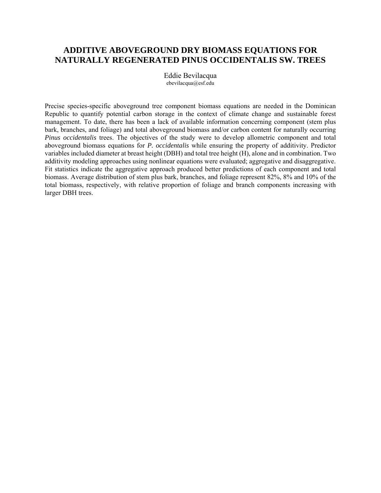### **ADDITIVE ABOVEGROUND DRY BIOMASS EQUATIONS FOR NATURALLY REGENERATED PINUS OCCIDENTALIS SW. TREES**

Eddie Bevilacqua ebevilacqua@esf.edu

Precise species-specific aboveground tree component biomass equations are needed in the Dominican Republic to quantify potential carbon storage in the context of climate change and sustainable forest management. To date, there has been a lack of available information concerning component (stem plus bark, branches, and foliage) and total aboveground biomass and/or carbon content for naturally occurring *Pinus occidentalis* trees. The objectives of the study were to develop allometric component and total aboveground biomass equations for *P. occidentalis* while ensuring the property of additivity. Predictor variables included diameter at breast height (DBH) and total tree height (H), alone and in combination. Two additivity modeling approaches using nonlinear equations were evaluated; aggregative and disaggregative. Fit statistics indicate the aggregative approach produced better predictions of each component and total biomass. Average distribution of stem plus bark, branches, and foliage represent 82%, 8% and 10% of the total biomass, respectively, with relative proportion of foliage and branch components increasing with larger DBH trees.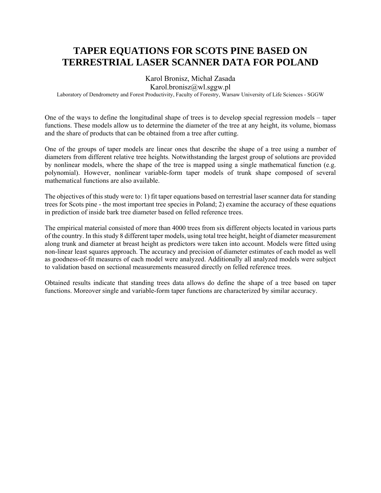## **TAPER EQUATIONS FOR SCOTS PINE BASED ON TERRESTRIAL LASER SCANNER DATA FOR POLAND**

Karol Bronisz, Michał Zasada Karol.bronisz@wl.sggw.pl

Laboratory of Dendrometry and Forest Productivity, Faculty of Forestry, Warsaw University of Life Sciences - SGGW

One of the ways to define the longitudinal shape of trees is to develop special regression models – taper functions. These models allow us to determine the diameter of the tree at any height, its volume, biomass and the share of products that can be obtained from a tree after cutting.

One of the groups of taper models are linear ones that describe the shape of a tree using a number of diameters from different relative tree heights. Notwithstanding the largest group of solutions are provided by nonlinear models, where the shape of the tree is mapped using a single mathematical function (e.g. polynomial). However, nonlinear variable-form taper models of trunk shape composed of several mathematical functions are also available.

The objectives of this study were to: 1) fit taper equations based on terrestrial laser scanner data for standing trees for Scots pine - the most important tree species in Poland; 2) examine the accuracy of these equations in prediction of inside bark tree diameter based on felled reference trees.

The empirical material consisted of more than 4000 trees from six different objects located in various parts of the country. In this study 8 different taper models, using total tree height, height of diameter measurement along trunk and diameter at breast height as predictors were taken into account. Models were fitted using non-linear least squares approach. The accuracy and precision of diameter estimates of each model as well as goodness-of-fit measures of each model were analyzed. Additionally all analyzed models were subject to validation based on sectional measurements measured directly on felled reference trees.

Obtained results indicate that standing trees data allows do define the shape of a tree based on taper functions. Moreover single and variable-form taper functions are characterized by similar accuracy.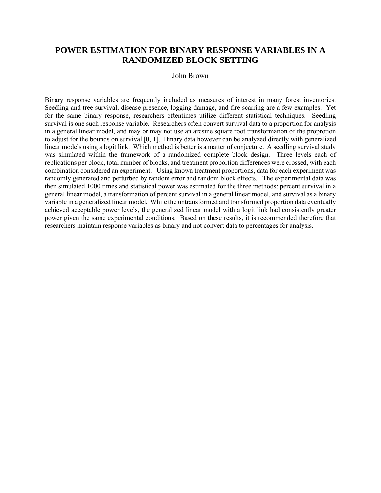#### **POWER ESTIMATION FOR BINARY RESPONSE VARIABLES IN A RANDOMIZED BLOCK SETTING**

#### John Brown

Binary response variables are frequently included as measures of interest in many forest inventories. Seedling and tree survival, disease presence, logging damage, and fire scarring are a few examples. Yet for the same binary response, researchers oftentimes utilize different statistical techniques. Seedling survival is one such response variable. Researchers often convert survival data to a proportion for analysis in a general linear model, and may or may not use an arcsine square root transformation of the proprotion to adjust for the bounds on survival [0, 1]. Binary data however can be analyzed directly with generalized linear models using a logit link. Which method is better is a matter of conjecture. A seedling survival study was simulated within the framework of a randomized complete block design. Three levels each of replications per block, total number of blocks, and treatment proportion differences were crossed, with each combination considered an experiment. Using known treatment proportions, data for each experiment was randomly generated and perturbed by random error and random block effects. The experimental data was then simulated 1000 times and statistical power was estimated for the three methods: percent survival in a general linear model, a transformation of percent survival in a general linear model, and survival as a binary variable in a generalized linear model. While the untransformed and transformed proportion data eventually achieved acceptable power levels, the generalized linear model with a logit link had consistently greater power given the same experimental conditions. Based on these results, it is recommended therefore that researchers maintain response variables as binary and not convert data to percentages for analysis.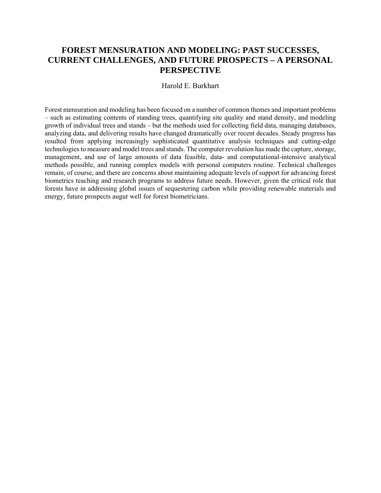## **FOREST MENSURATION AND MODELING: PAST SUCCESSES, CURRENT CHALLENGES, AND FUTURE PROSPECTS – A PERSONAL PERSPECTIVE**

#### Harold E. Burkhart

Forest mensuration and modeling has been focused on a number of common themes and important problems – such as estimating contents of standing trees, quantifying site quality and stand density, and modeling growth of individual trees and stands – but the methods used for collecting field data, managing databases, analyzing data, and delivering results have changed dramatically over recent decades. Steady progress has resulted from applying increasingly sophisticated quantitative analysis techniques and cutting-edge technologies to measure and model trees and stands. The computer revolution has made the capture, storage, management, and use of large amounts of data feasible, data- and computational-intensive analytical methods possible, and running complex models with personal computers routine. Technical challenges remain, of course, and there are concerns about maintaining adequate levels of support for advancing forest biometrics teaching and research programs to address future needs. However, given the critical role that forests have in addressing global issues of sequestering carbon while providing renewable materials and energy, future prospects augur well for forest biometricians.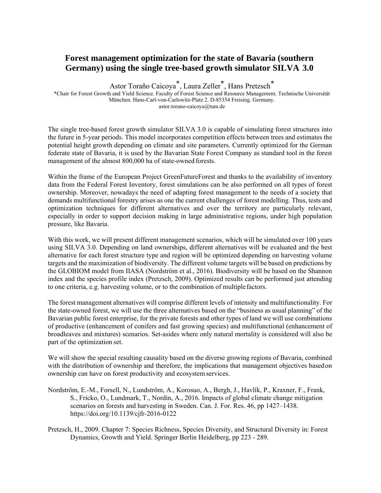## **Forest management optimization for the state of Bavaria (southern Germany) using the single tree-based growth simulator SILVA 3.0**

Astor Toraño Caicoya\*, Laura Zeller\*, Hans Pretzsch\*

\*Chair for Forest Growth and Yield Science. Faculty of Forest Science and Resource Management. Technische Universität München. Hans-Carl-von-Carlowitz-Platz 2. D-85354 Freising. Germany. astor.torano-caicoya@tum.de

The single tree-based forest growth simulator SILVA 3.0 is capable of simulating forest structures into the future in 5-year periods. This model incorporates competition effects between trees and estimates the potential height growth depending on climate and site parameters. Currently optimized for the German federate state of Bavaria, it is used by the Bavarian State Forest Company as standard tool in the forest management of the almost 800,000 ha of state-owned forests.

Within the frame of the European Project GreenFutureForest and thanks to the availability of inventory data from the Federal Forest Inventory, forest simulations can be also performed on all types of forest ownership. Moreover, nowadays the need of adapting forest management to the needs of a society that demands multifunctional forestry arises as one the current challenges of forest modelling. Thus, tests and optimization techniques for different alternatives and over the territory are particularly relevant, especially in order to support decision making in large administrative regions, under high population pressure, like Bavaria.

With this work, we will present different management scenarios, which will be simulated over 100 years using SILVA 3.0. Depending on land ownerships, different alternatives will be evaluated and the best alternative for each forest structure type and region will be optimized depending on harvesting volume targets and the maximization of biodiversity. The different volume targets will be based on predictions by the GLOBIOM model from IIASA (Nordström et al., 2016). Biodiversity will be based on the Shannon index and the species profile index (Pretzsch, 2009). Optimized results can be performed just attending to one criteria, e.g. harvesting volume, or to the combination of multiple factors.

The forest management alternatives will comprise different levels of intensity and multifunctionality. For the state-owned forest, we will use the three alternatives based on the "business as usual planning" of the Bavarian public forest enterprise, for the private forests and other types of land we will use combinations of productive (enhancement of conifers and fast growing species) and multifunctional (enhancement of broadleaves and mixtures) scenarios. Set-asides where only natural mortality is considered will also be part of the optimization set.

We will show the special resulting causality based on the diverse growing regions of Bavaria, combined with the distribution of ownership and therefore, the implications that management objectives based on ownership can have on forest productivity and ecosystem services.

- Nordström, E.-M., Forsell, N., Lundström, A., Korosuo, A., Bergh, J., Havlík, P., Kraxner, F., Frank, S., Fricko, O., Lundmark, T., Nordin, A., 2016. Impacts of global climate change mitigation scenarios on forests and harvesting in Sweden. Can. J. For. Res. 46, pp 1427–1438. https://doi.org/10.1139/cjfr-2016-0122
- Pretzsch, H., 2009. Chapter 7: Species Richness, Species Diversity, and Structural Diversity in: Forest Dynamics, Growth and Yield. Springer Berlin Heidelberg, pp 223 - 289.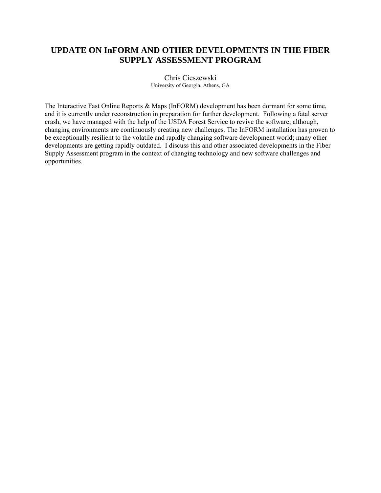#### **UPDATE ON InFORM AND OTHER DEVELOPMENTS IN THE FIBER SUPPLY ASSESSMENT PROGRAM**

Chris Cieszewski University of Georgia, Athens, GA

The Interactive Fast Online Reports & Maps (InFORM) development has been dormant for some time, and it is currently under reconstruction in preparation for further development. Following a fatal server crash, we have managed with the help of the USDA Forest Service to revive the software; although, changing environments are continuously creating new challenges. The InFORM installation has proven to be exceptionally resilient to the volatile and rapidly changing software development world; many other developments are getting rapidly outdated. I discuss this and other associated developments in the Fiber Supply Assessment program in the context of changing technology and new software challenges and opportunities.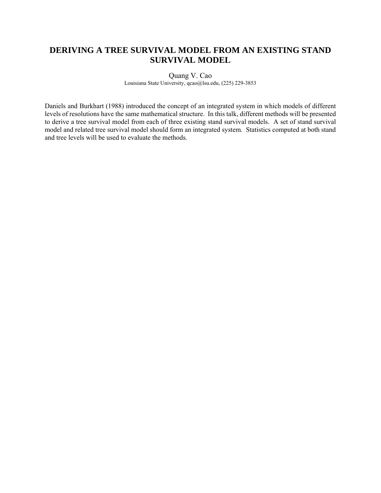## **DERIVING A TREE SURVIVAL MODEL FROM AN EXISTING STAND SURVIVAL MODEL**

Quang V. Cao

Louisiana State University, qcao@lsu.edu, (225) 229-3853

Daniels and Burkhart (1988) introduced the concept of an integrated system in which models of different levels of resolutions have the same mathematical structure. In this talk, different methods will be presented to derive a tree survival model from each of three existing stand survival models. A set of stand survival model and related tree survival model should form an integrated system. Statistics computed at both stand and tree levels will be used to evaluate the methods.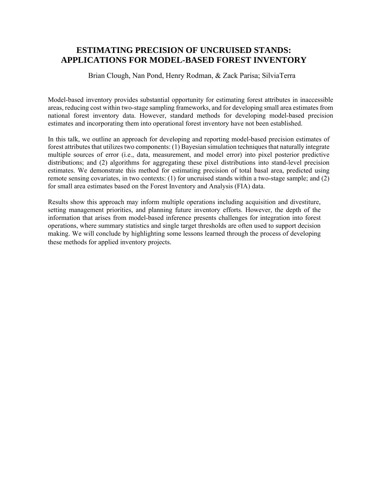#### **ESTIMATING PRECISION OF UNCRUISED STANDS: APPLICATIONS FOR MODEL-BASED FOREST INVENTORY**

Brian Clough, Nan Pond, Henry Rodman, & Zack Parisa; SilviaTerra

Model-based inventory provides substantial opportunity for estimating forest attributes in inaccessible areas, reducing cost within two-stage sampling frameworks, and for developing small area estimates from national forest inventory data. However, standard methods for developing model-based precision estimates and incorporating them into operational forest inventory have not been established.

In this talk, we outline an approach for developing and reporting model-based precision estimates of forest attributes that utilizes two components: (1) Bayesian simulation techniques that naturally integrate multiple sources of error (i.e., data, measurement, and model error) into pixel posterior predictive distributions; and (2) algorithms for aggregating these pixel distributions into stand-level precision estimates. We demonstrate this method for estimating precision of total basal area, predicted using remote sensing covariates, in two contexts: (1) for uncruised stands within a two-stage sample; and (2) for small area estimates based on the Forest Inventory and Analysis (FIA) data.

Results show this approach may inform multiple operations including acquisition and divestiture, setting management priorities, and planning future inventory efforts. However, the depth of the information that arises from model-based inference presents challenges for integration into forest operations, where summary statistics and single target thresholds are often used to support decision making. We will conclude by highlighting some lessons learned through the process of developing these methods for applied inventory projects.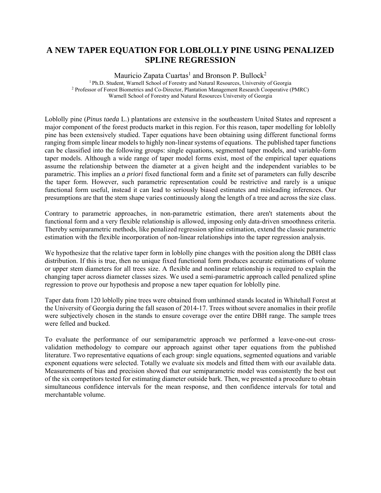## **A NEW TAPER EQUATION FOR LOBLOLLY PINE USING PENALIZED SPLINE REGRESSION**

Mauricio Zapata Cuartas<sup>1</sup> and Bronson P. Bullock<sup>2</sup> 1 Ph.D. Student, Warnell School of Forestry and Natural Resources, University of Georgia 2 Professor of Forest Biometrics and Co-Director, Plantation Management Research Cooperative (PMRC) Warnell School of Forestry and Natural Resources University of Georgia

Loblolly pine (*Pinus taeda* L.) plantations are extensive in the southeastern United States and represent a major component of the forest products market in this region. For this reason, taper modelling for loblolly pine has been extensively studied. Taper equations have been obtaining using different functional forms ranging from simple linear models to highly non-linear systems of equations. The published taper functions can be classified into the following groups: single equations, segmented taper models, and variable-form taper models. Although a wide range of taper model forms exist, most of the empirical taper equations assume the relationship between the diameter at a given height and the independent variables to be parametric. This implies an *a priori* fixed functional form and a finite set of parameters can fully describe the taper form. However, such parametric representation could be restrictive and rarely is a unique functional form useful, instead it can lead to seriously biased estimates and misleading inferences. Our presumptions are that the stem shape varies continuously along the length of a tree and across the size class.

Contrary to parametric approaches, in non-parametric estimation, there aren't statements about the functional form and a very flexible relationship is allowed, imposing only data-driven smoothness criteria. Thereby semiparametric methods, like penalized regression spline estimation, extend the classic parametric estimation with the flexible incorporation of non-linear relationships into the taper regression analysis.

We hypothesize that the relative taper form in loblolly pine changes with the position along the DBH class distribution. If this is true, then no unique fixed functional form produces accurate estimations of volume or upper stem diameters for all trees size. A flexible and nonlinear relationship is required to explain the changing taper across diameter classes sizes. We used a semi-parametric approach called penalized spline regression to prove our hypothesis and propose a new taper equation for loblolly pine.

Taper data from 120 loblolly pine trees were obtained from unthinned stands located in Whitehall Forest at the University of Georgia during the fall season of 2014-17. Trees without severe anomalies in their profile were subjectively chosen in the stands to ensure coverage over the entire DBH range. The sample trees were felled and bucked.

To evaluate the performance of our semiparametric approach we performed a leave-one-out crossvalidation methodology to compare our approach against other taper equations from the published literature. Two representative equations of each group: single equations, segmented equations and variable exponent equations were selected. Totally we evaluate six models and fitted them with our available data. Measurements of bias and precision showed that our semiparametric model was consistently the best out of the six competitors tested for estimating diameter outside bark. Then, we presented a procedure to obtain simultaneous confidence intervals for the mean response, and then confidence intervals for total and merchantable volume.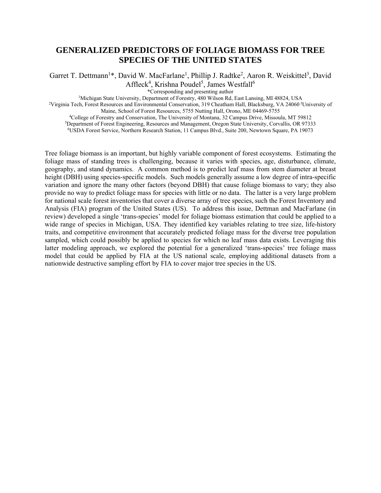#### **GENERALIZED PREDICTORS OF FOLIAGE BIOMASS FOR TREE SPECIES OF THE UNITED STATES**

Garret T. Dettmann<sup>1\*</sup>, David W. MacFarlane<sup>1</sup>, Phillip J. Radtke<sup>2</sup>, Aaron R. Weiskittel<sup>3</sup>, David Affleck<sup>4</sup>, Krishna Poudel<sup>5</sup>, James Westfall<sup>6</sup>

\*Corresponding and presenting author<br><sup>1</sup>Michigan State University, Department of Forestry, 480 Wilson Rd, East Lansing, MI 48824, USA<br><sup>2</sup>Virginia Tech, Forest Resources and Environmental Conservation, 319 Cheatham Hall, Bl

Maine, School of Forest Resources, 5755 Nutting Hall, Orono, ME 04469-5755<br>
<sup>4</sup>College of Forestry and Conservation, The University of Montana, 32 Campus Drive, Missoula, MT 59812<br>
<sup>5</sup>Department of Forest Engineering, Reso

Tree foliage biomass is an important, but highly variable component of forest ecosystems. Estimating the foliage mass of standing trees is challenging, because it varies with species, age, disturbance, climate, geography, and stand dynamics. A common method is to predict leaf mass from stem diameter at breast height (DBH) using species-specific models. Such models generally assume a low degree of intra-specific variation and ignore the many other factors (beyond DBH) that cause foliage biomass to vary; they also provide no way to predict foliage mass for species with little or no data. The latter is a very large problem for national scale forest inventories that cover a diverse array of tree species, such the Forest Inventory and Analysis (FIA) program of the United States (US). To address this issue, Dettman and MacFarlane (in review) developed a single 'trans-species' model for foliage biomass estimation that could be applied to a wide range of species in Michigan, USA. They identified key variables relating to tree size, life-history traits, and competitive environment that accurately predicted foliage mass for the diverse tree population sampled, which could possibly be applied to species for which no leaf mass data exists. Leveraging this latter modeling approach, we explored the potential for a generalized 'trans-species' tree foliage mass model that could be applied by FIA at the US national scale, employing additional datasets from a nationwide destructive sampling effort by FIA to cover major tree species in the US.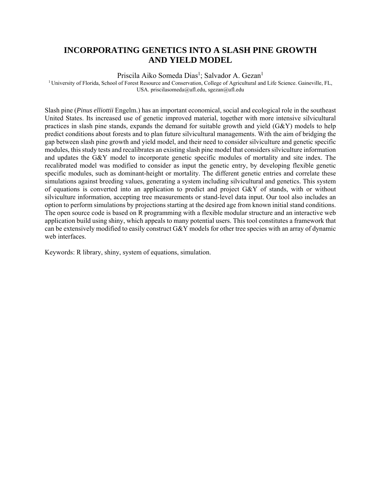#### **INCORPORATING GENETICS INTO A SLASH PINE GROWTH AND YIELD MODEL**

Priscila Aiko Someda Dias<sup>1</sup>; Salvador A. Gezan<sup>1</sup>

1 University of Florida, School of Forest Resource and Conservation, College of Agricultural and Life Science. Gaineville, FL, USA. priscilasomeda@ufl.edu, sgezan@ufl.edu

Slash pine (*Pinus elliottii* Engelm.) has an important economical, social and ecological role in the southeast United States. Its increased use of genetic improved material, together with more intensive silvicultural practices in slash pine stands, expands the demand for suitable growth and yield (G&Y) models to help predict conditions about forests and to plan future silvicultural managements. With the aim of bridging the gap between slash pine growth and yield model, and their need to consider silviculture and genetic specific modules, this study tests and recalibrates an existing slash pine model that considers silviculture information and updates the G&Y model to incorporate genetic specific modules of mortality and site index. The recalibrated model was modified to consider as input the genetic entry, by developing flexible genetic specific modules, such as dominant-height or mortality. The different genetic entries and correlate these simulations against breeding values, generating a system including silvicultural and genetics. This system of equations is converted into an application to predict and project G&Y of stands, with or without silviculture information, accepting tree measurements or stand-level data input. Our tool also includes an option to perform simulations by projections starting at the desired age from known initial stand conditions. The open source code is based on R programming with a flexible modular structure and an interactive web application build using shiny, which appeals to many potential users. This tool constitutes a framework that can be extensively modified to easily construct G&Y models for other tree species with an array of dynamic web interfaces.

Keywords: R library, shiny, system of equations, simulation.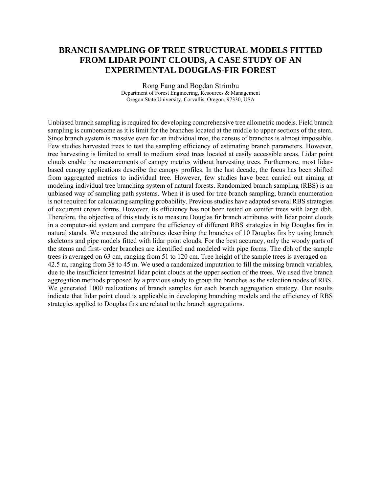## **BRANCH SAMPLING OF TREE STRUCTURAL MODELS FITTED FROM LIDAR POINT CLOUDS, A CASE STUDY OF AN EXPERIMENTAL DOUGLAS-FIR FOREST**

Rong Fang and Bogdan Strimbu Department of Forest Engineering, Resources & Management Oregon State University, Corvallis, Oregon, 97330, USA

Unbiased branch sampling is required for developing comprehensive tree allometric models. Field branch sampling is cumbersome as it is limit for the branches located at the middle to upper sections of the stem. Since branch system is massive even for an individual tree, the census of branches is almost impossible. Few studies harvested trees to test the sampling efficiency of estimating branch parameters. However, tree harvesting is limited to small to medium sized trees located at easily accessible areas. Lidar point clouds enable the measurements of canopy metrics without harvesting trees. Furthermore, most lidarbased canopy applications describe the canopy profiles. In the last decade, the focus has been shifted from aggregated metrics to individual tree. However, few studies have been carried out aiming at modeling individual tree branching system of natural forests. Randomized branch sampling (RBS) is an unbiased way of sampling path systems. When it is used for tree branch sampling, branch enumeration is not required for calculating sampling probability. Previous studies have adapted several RBS strategies of excurrent crown forms. However, its efficiency has not been tested on conifer trees with large dbh. Therefore, the objective of this study is to measure Douglas fir branch attributes with lidar point clouds in a computer-aid system and compare the efficiency of different RBS strategies in big Douglas firs in natural stands. We measured the attributes describing the branches of 10 Douglas firs by using branch skeletons and pipe models fitted with lidar point clouds. For the best accuracy, only the woody parts of the stems and first- order branches are identified and modeled with pipe forms. The dbh of the sample trees is averaged on 63 cm, ranging from 51 to 120 cm. Tree height of the sample trees is averaged on 42.5 m, ranging from 38 to 45 m. We used a randomized imputation to fill the missing branch variables, due to the insufficient terrestrial lidar point clouds at the upper section of the trees. We used five branch aggregation methods proposed by a previous study to group the branches as the selection nodes of RBS. We generated 1000 realizations of branch samples for each branch aggregation strategy. Our results indicate that lidar point cloud is applicable in developing branching models and the efficiency of RBS strategies applied to Douglas firs are related to the branch aggregations.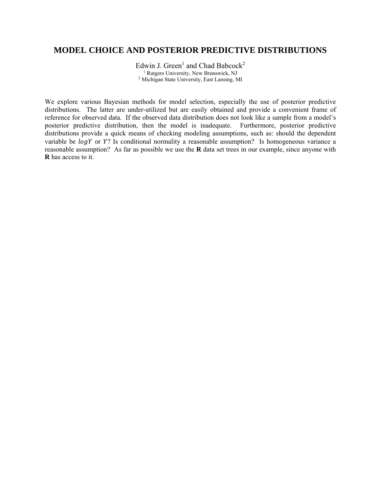#### **MODEL CHOICE AND POSTERIOR PREDICTIVE DISTRIBUTIONS**

Edwin J. Green<sup>1</sup> and Chad Babcock<sup>2</sup> <sup>1</sup> Rutgers University, New Brunswick, NJ<br><sup>2</sup> Michigan State University, East Lansing, MI

We explore various Bayesian methods for model selection, especially the use of posterior predictive distributions. The latter are under-utilized but are easily obtained and provide a convenient frame of reference for observed data. If the observed data distribution does not look like a sample from a model's posterior predictive distribution, then the model is inadequate. Furthermore, posterior predictive distributions provide a quick means of checking modeling assumptions, such as: should the dependent variable be logY or Y? Is conditional normality a reasonable assumption? Is homogeneous variance a reasonable assumption? As far as possible we use the **R** data set trees in our example, since anyone with **R** has access to it.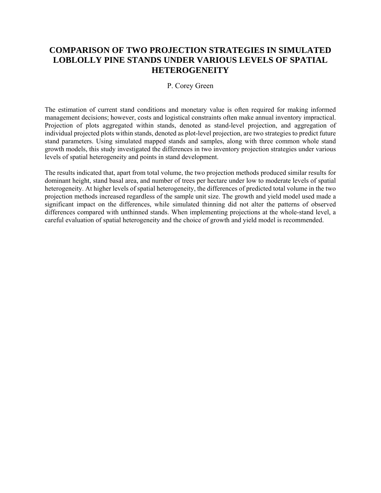## **COMPARISON OF TWO PROJECTION STRATEGIES IN SIMULATED LOBLOLLY PINE STANDS UNDER VARIOUS LEVELS OF SPATIAL HETEROGENEITY**

#### P. Corey Green

The estimation of current stand conditions and monetary value is often required for making informed management decisions; however, costs and logistical constraints often make annual inventory impractical. Projection of plots aggregated within stands, denoted as stand-level projection, and aggregation of individual projected plots within stands, denoted as plot-level projection, are two strategies to predict future stand parameters. Using simulated mapped stands and samples, along with three common whole stand growth models, this study investigated the differences in two inventory projection strategies under various levels of spatial heterogeneity and points in stand development.

The results indicated that, apart from total volume, the two projection methods produced similar results for dominant height, stand basal area, and number of trees per hectare under low to moderate levels of spatial heterogeneity. At higher levels of spatial heterogeneity, the differences of predicted total volume in the two projection methods increased regardless of the sample unit size. The growth and yield model used made a significant impact on the differences, while simulated thinning did not alter the patterns of observed differences compared with unthinned stands. When implementing projections at the whole-stand level, a careful evaluation of spatial heterogeneity and the choice of growth and yield model is recommended.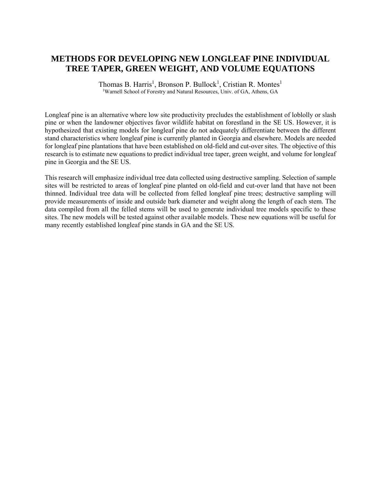## **METHODS FOR DEVELOPING NEW LONGLEAF PINE INDIVIDUAL TREE TAPER, GREEN WEIGHT, AND VOLUME EQUATIONS**

Thomas B. Harris<sup>1</sup>, Bronson P. Bullock<sup>1</sup>, Cristian R. Montes<sup>1</sup> <sup>1</sup>Warnell School of Forestry and Natural Resources, Univ. of GA, Athens, GA

Longleaf pine is an alternative where low site productivity precludes the establishment of loblolly or slash pine or when the landowner objectives favor wildlife habitat on forestland in the SE US. However, it is hypothesized that existing models for longleaf pine do not adequately differentiate between the different stand characteristics where longleaf pine is currently planted in Georgia and elsewhere. Models are needed for longleaf pine plantations that have been established on old-field and cut-over sites. The objective of this research is to estimate new equations to predict individual tree taper, green weight, and volume for longleaf pine in Georgia and the SE US.

This research will emphasize individual tree data collected using destructive sampling. Selection of sample sites will be restricted to areas of longleaf pine planted on old-field and cut-over land that have not been thinned. Individual tree data will be collected from felled longleaf pine trees; destructive sampling will provide measurements of inside and outside bark diameter and weight along the length of each stem. The data compiled from all the felled stems will be used to generate individual tree models specific to these sites. The new models will be tested against other available models. These new equations will be useful for many recently established longleaf pine stands in GA and the SE US.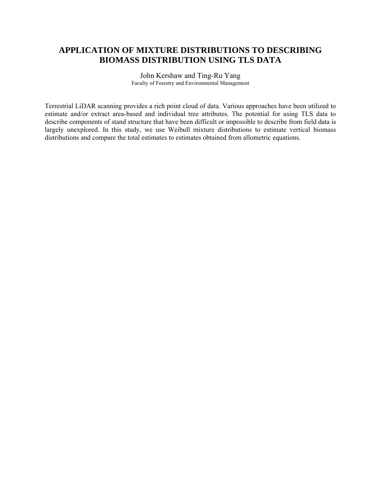## **APPLICATION OF MIXTURE DISTRIBUTIONS TO DESCRIBING BIOMASS DISTRIBUTION USING TLS DATA**

John Kershaw and Ting-Ru Yang Faculty of Forestry and Environmental Management

Terrestrial LiDAR scanning provides a rich point cloud of data. Various approaches have been utilized to estimate and/or extract area-based and individual tree attributes. The potential for using TLS data to describe components of stand structure that have been difficult or impossible to describe from field data is largely unexplored. In this study, we use Weibull mixture distributions to estimate vertical biomass distributions and compare the total estimates to estimates obtained from allometric equations.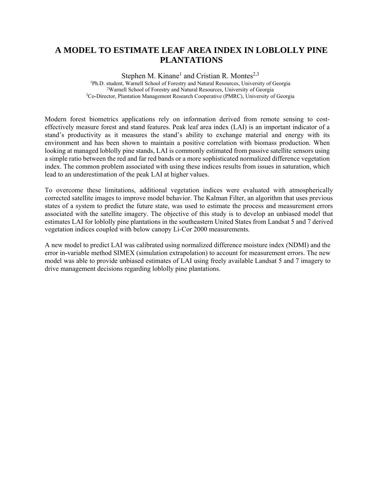## **A MODEL TO ESTIMATE LEAF AREA INDEX IN LOBLOLLY PINE PLANTATIONS**

Stephen M. Kinane<sup>1</sup> and Cristian R. Montes<sup>2,3</sup> <sup>1</sup>Ph.D. student, Warnell School of Forestry and Natural Resources, University of Georgia<br><sup>2</sup>Warnell School of Forestry and Natural Resources, University of Georgia<br><sup>3</sup>Co-Director, Plantation Management Research Cooperativ

Modern forest biometrics applications rely on information derived from remote sensing to costeffectively measure forest and stand features. Peak leaf area index (LAI) is an important indicator of a stand's productivity as it measures the stand's ability to exchange material and energy with its environment and has been shown to maintain a positive correlation with biomass production. When looking at managed loblolly pine stands, LAI is commonly estimated from passive satellite sensors using a simple ratio between the red and far red bands or a more sophisticated normalized difference vegetation index. The common problem associated with using these indices results from issues in saturation, which lead to an underestimation of the peak LAI at higher values.

To overcome these limitations, additional vegetation indices were evaluated with atmospherically corrected satellite images to improve model behavior. The Kalman Filter, an algorithm that uses previous states of a system to predict the future state, was used to estimate the process and measurement errors associated with the satellite imagery. The objective of this study is to develop an unbiased model that estimates LAI for loblolly pine plantations in the southeastern United States from Landsat 5 and 7 derived vegetation indices coupled with below canopy Li-Cor 2000 measurements.

A new model to predict LAI was calibrated using normalized difference moisture index (NDMI) and the error in-variable method SIMEX (simulation extrapolation) to account for measurement errors. The new model was able to provide unbiased estimates of LAI using freely available Landsat 5 and 7 imagery to drive management decisions regarding loblolly pine plantations.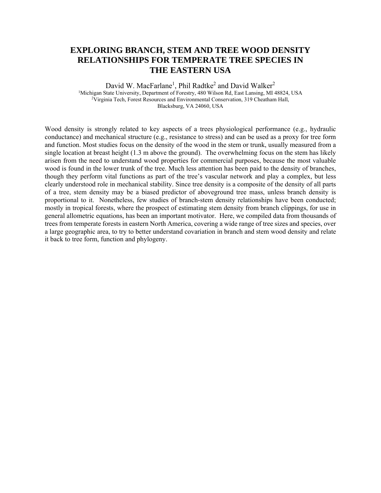#### **EXPLORING BRANCH, STEM AND TREE WOOD DENSITY RELATIONSHIPS FOR TEMPERATE TREE SPECIES IN THE EASTERN USA**

David W. MacFarlane<sup>1</sup>, Phil Radtke<sup>2</sup> and David Walker<sup>2</sup> <sup>1</sup>Michigan State University, Department of Forestry, 480 Wilson Rd, East Lansing, MI 48824, USA <sup>2</sup>Virginia Tech, Forest Resources and Environmental Conservation, 319 Cheatham Hall, Blacksburg, VA 24060, USA

Wood density is strongly related to key aspects of a trees physiological performance (e.g., hydraulic conductance) and mechanical structure (e.g., resistance to stress) and can be used as a proxy for tree form and function. Most studies focus on the density of the wood in the stem or trunk, usually measured from a single location at breast height (1.3 m above the ground). The overwhelming focus on the stem has likely arisen from the need to understand wood properties for commercial purposes, because the most valuable wood is found in the lower trunk of the tree. Much less attention has been paid to the density of branches, though they perform vital functions as part of the tree's vascular network and play a complex, but less clearly understood role in mechanical stability. Since tree density is a composite of the density of all parts of a tree, stem density may be a biased predictor of aboveground tree mass, unless branch density is proportional to it. Nonetheless, few studies of branch-stem density relationships have been conducted; mostly in tropical forests, where the prospect of estimating stem density from branch clippings, for use in general allometric equations, has been an important motivator. Here, we compiled data from thousands of trees from temperate forests in eastern North America, covering a wide range of tree sizes and species, over a large geographic area, to try to better understand covariation in branch and stem wood density and relate it back to tree form, function and phylogeny.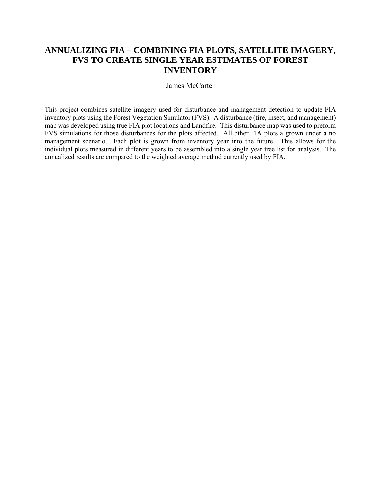## **ANNUALIZING FIA – COMBINING FIA PLOTS, SATELLITE IMAGERY, FVS TO CREATE SINGLE YEAR ESTIMATES OF FOREST INVENTORY**

#### James McCarter

This project combines satellite imagery used for disturbance and management detection to update FIA inventory plots using the Forest Vegetation Simulator (FVS). A disturbance (fire, insect, and management) map was developed using true FIA plot locations and Landfire. This disturbance map was used to preform FVS simulations for those disturbances for the plots affected. All other FIA plots a grown under a no management scenario. Each plot is grown from inventory year into the future. This allows for the individual plots measured in different years to be assembled into a single year tree list for analysis. The annualized results are compared to the weighted average method currently used by FIA.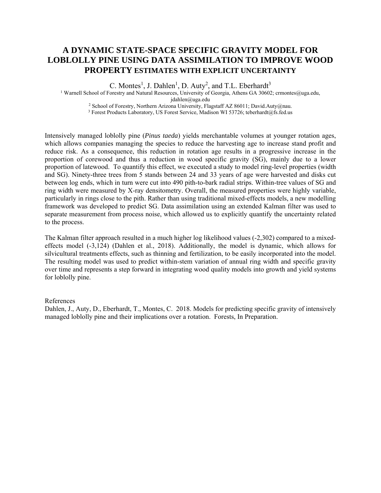#### **A DYNAMIC STATE-SPACE SPECIFIC GRAVITY MODEL FOR LOBLOLLY PINE USING DATA ASSIMILATION TO IMPROVE WOOD PROPERTY ESTIMATES WITH EXPLICIT UNCERTAINTY**

C. Montes<sup>1</sup>, J. Dahlen<sup>1</sup>, D. Auty<sup>2</sup>, and T.L. Eberhardt<sup>3</sup>

<sup>1</sup> Warnell School of Forestry and Natural Resources, University of Georgia, Athens GA 30602; crmontes@uga.edu,<br>
jdahlen@uga.edu <sup>2</sup> School of Forestry, Northern Arizona University, Flagstaff AZ 86011; David.Auty@nau. <sup>3</sup> Forest Products Laboratory, US Forest Service, Madison WI 53726; teberhardt@fs.fed.us

Intensively managed loblolly pine (*Pinus taeda*) yields merchantable volumes at younger rotation ages, which allows companies managing the species to reduce the harvesting age to increase stand profit and reduce risk. As a consequence, this reduction in rotation age results in a progressive increase in the proportion of corewood and thus a reduction in wood specific gravity (SG), mainly due to a lower proportion of latewood. To quantify this effect, we executed a study to model ring-level properties (width and SG). Ninety-three trees from 5 stands between 24 and 33 years of age were harvested and disks cut between log ends, which in turn were cut into 490 pith-to-bark radial strips. Within-tree values of SG and ring width were measured by X-ray densitometry. Overall, the measured properties were highly variable, particularly in rings close to the pith. Rather than using traditional mixed-effects models, a new modelling framework was developed to predict SG. Data assimilation using an extended Kalman filter was used to separate measurement from process noise, which allowed us to explicitly quantify the uncertainty related

The Kalman filter approach resulted in a much higher log likelihood values (-2,302) compared to a mixedeffects model (-3,124) (Dahlen et al., 2018). Additionally, the model is dynamic, which allows for silvicultural treatments effects, such as thinning and fertilization, to be easily incorporated into the model. The resulting model was used to predict within-stem variation of annual ring width and specific gravity over time and represents a step forward in integrating wood quality models into growth and yield systems for loblolly pine.

#### References

to the process.

Dahlen, J., Auty, D., Eberhardt, T., Montes, C. 2018. Models for predicting specific gravity of intensively managed loblolly pine and their implications over a rotation. Forests, In Preparation.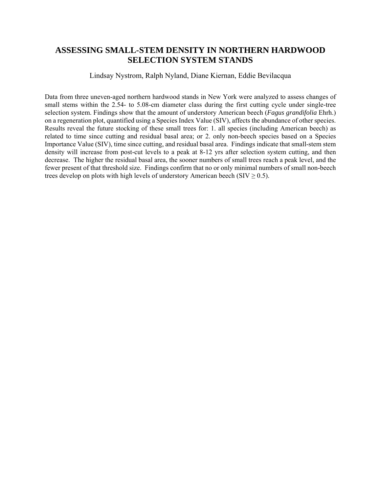#### **ASSESSING SMALL-STEM DENSITY IN NORTHERN HARDWOOD SELECTION SYSTEM STANDS**

#### Lindsay Nystrom, Ralph Nyland, Diane Kiernan, Eddie Bevilacqua

Data from three uneven-aged northern hardwood stands in New York were analyzed to assess changes of small stems within the 2.54- to 5.08-cm diameter class during the first cutting cycle under single-tree selection system. Findings show that the amount of understory American beech (*Fagus grandifolia* Ehrh.) on a regeneration plot, quantified using a Species Index Value (SIV), affects the abundance of other species. Results reveal the future stocking of these small trees for: 1. all species (including American beech) as related to time since cutting and residual basal area; or 2. only non-beech species based on a Species Importance Value (SIV), time since cutting, and residual basal area. Findings indicate that small-stem stem density will increase from post-cut levels to a peak at 8-12 yrs after selection system cutting, and then decrease. The higher the residual basal area, the sooner numbers of small trees reach a peak level, and the fewer present of that threshold size. Findings confirm that no or only minimal numbers of small non-beech trees develop on plots with high levels of understory American beech (SIV  $\geq$  0.5).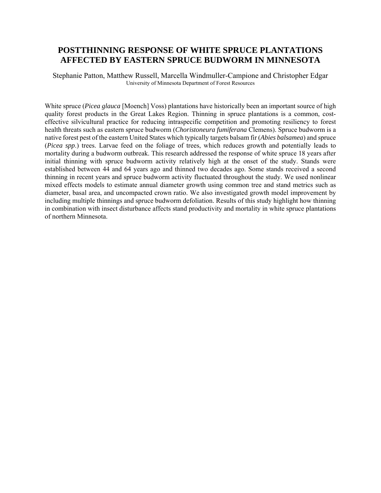#### **POSTTHINNING RESPONSE OF WHITE SPRUCE PLANTATIONS AFFECTED BY EASTERN SPRUCE BUDWORM IN MINNESOTA**

Stephanie Patton, Matthew Russell, Marcella Windmuller-Campione and Christopher Edgar University of Minnesota Department of Forest Resources

White spruce (*Picea glauca* [Moench] Voss) plantations have historically been an important source of high quality forest products in the Great Lakes Region. Thinning in spruce plantations is a common, costeffective silvicultural practice for reducing intraspecific competition and promoting resiliency to forest health threats such as eastern spruce budworm (*Choristoneura fumiferana* Clemens). Spruce budworm is a native forest pest of the eastern United States which typically targets balsam fir (*Abies balsamea*) and spruce (*Picea spp*.) trees. Larvae feed on the foliage of trees, which reduces growth and potentially leads to mortality during a budworm outbreak. This research addressed the response of white spruce 18 years after initial thinning with spruce budworm activity relatively high at the onset of the study. Stands were established between 44 and 64 years ago and thinned two decades ago. Some stands received a second thinning in recent years and spruce budworm activity fluctuated throughout the study. We used nonlinear mixed effects models to estimate annual diameter growth using common tree and stand metrics such as diameter, basal area, and uncompacted crown ratio. We also investigated growth model improvement by including multiple thinnings and spruce budworm defoliation. Results of this study highlight how thinning in combination with insect disturbance affects stand productivity and mortality in white spruce plantations of northern Minnesota.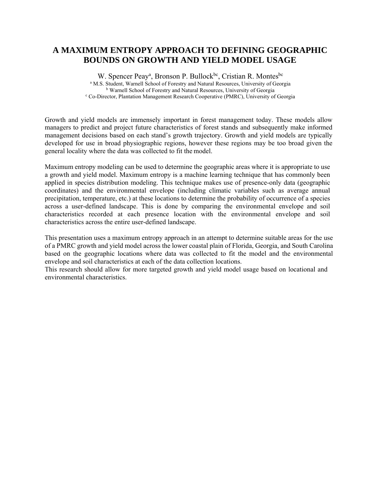#### **A MAXIMUM ENTROPY APPROACH TO DEFINING GEOGRAPHIC BOUNDS ON GROWTH AND YIELD MODEL USAGE**

W. Spencer Peay<sup>a</sup>, Bronson P. Bullock<sup>bc</sup>, Cristian R. Montes<sup>bc</sup> <sup>a</sup> M.S. Student, Warnell School of Forestry and Natural Resources, University of Georgia <sup>b</sup> Warnell School of Forestry and Natural Resources, University of Georgia Co-Director, Plantation Management Research Cooperative (PMRC), University of Georgia

Growth and yield models are immensely important in forest management today. These models allow managers to predict and project future characteristics of forest stands and subsequently make informed management decisions based on each stand's growth trajectory. Growth and yield models are typically developed for use in broad physiographic regions, however these regions may be too broad given the general locality where the data was collected to fit the model.

Maximum entropy modeling can be used to determine the geographic areas where it is appropriate to use a growth and yield model. Maximum entropy is a machine learning technique that has commonly been applied in species distribution modeling. This technique makes use of presence-only data (geographic coordinates) and the environmental envelope (including climatic variables such as average annual precipitation, temperature, etc.) at these locations to determine the probability of occurrence of a species across a user-defined landscape. This is done by comparing the environmental envelope and soil characteristics recorded at each presence location with the environmental envelope and soil characteristics across the entire user-defined landscape.

This presentation uses a maximum entropy approach in an attempt to determine suitable areas for the use of a PMRC growth and yield model across the lower coastal plain of Florida, Georgia, and South Carolina based on the geographic locations where data was collected to fit the model and the environmental envelope and soil characteristics at each of the data collection locations.

This research should allow for more targeted growth and yield model usage based on locational and environmental characteristics.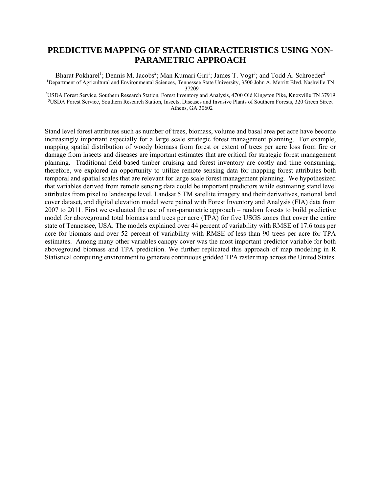#### **PREDICTIVE MAPPING OF STAND CHARACTERISTICS USING NON-PARAMETRIC APPROACH**

Bharat Pokharel<sup>1</sup>; Dennis M. Jacobs<sup>2</sup>; Man Kumari Giri<sup>1</sup>; James T. Vogt<sup>3</sup>; and Todd A. Schroeder<sup>2</sup> 1Department of Agricultural and Environmental Sciences, Tennessee State University, 3500 John A. Merritt Blvd. Nashville TN

37209<br><sup>2</sup>USDA Forest Service, Southern Research Station, Forest Inventory and Analysis, 4700 Old Kingston Pike, Knoxville TN 37919<sup>2</sup><br>3DSDA Forest Service, Southern Research Station, Insects, Diseases and Invasive Plants o Athens, GA 30602

Stand level forest attributes such as number of trees, biomass, volume and basal area per acre have become increasingly important especially for a large scale strategic forest management planning. For example, mapping spatial distribution of woody biomass from forest or extent of trees per acre loss from fire or damage from insects and diseases are important estimates that are critical for strategic forest management planning. Traditional field based timber cruising and forest inventory are costly and time consuming; therefore, we explored an opportunity to utilize remote sensing data for mapping forest attributes both temporal and spatial scales that are relevant for large scale forest management planning. We hypothesized that variables derived from remote sensing data could be important predictors while estimating stand level attributes from pixel to landscape level. Landsat 5 TM satellite imagery and their derivatives, national land cover dataset, and digital elevation model were paired with Forest Inventory and Analysis (FIA) data from 2007 to 2011. First we evaluated the use of non-parametric approach – random forests to build predictive model for aboveground total biomass and trees per acre (TPA) for five USGS zones that cover the entire state of Tennessee, USA. The models explained over 44 percent of variability with RMSE of 17.6 tons per acre for biomass and over 52 percent of variability with RMSE of less than 90 trees per acre for TPA estimates. Among many other variables canopy cover was the most important predictor variable for both aboveground biomass and TPA prediction. We further replicated this approach of map modeling in R Statistical computing environment to generate continuous gridded TPA raster map across the United States.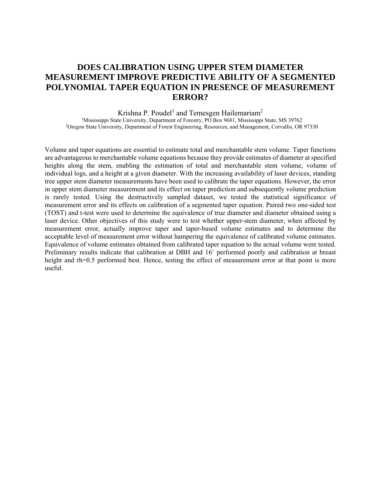## **DOES CALIBRATION USING UPPER STEM DIAMETER MEASUREMENT IMPROVE PREDICTIVE ABILITY OF A SEGMENTED POLYNOMIAL TAPER EQUATION IN PRESENCE OF MEASUREMENT ERROR?**

Krishna P. Poudel<sup>1</sup> and Temesgen Hailemariam<sup>2</sup>

<sup>1</sup>Mississippi State University, Department of Forestry, PO Box 9681, Mississippi State, MS 39762 2Oregon State University, Department of Forest Engineering, Resources, and Management, Corvallis, OR 97330

Volume and taper equations are essential to estimate total and merchantable stem volume. Taper functions are advantageous to merchantable volume equations because they provide estimates of diameter at specified heights along the stem, enabling the estimation of total and merchantable stem volume, volume of individual logs, and a height at a given diameter. With the increasing availability of laser devices, standing tree upper stem diameter measurements have been used to calibrate the taper equations. However, the error in upper stem diameter measurement and its effect on taper prediction and subsequently volume prediction is rarely tested. Using the destructively sampled dataset, we tested the statistical significance of measurement error and its effects on calibration of a segmented taper equation. Paired two one-sided test (TOST) and t-test were used to determine the equivalence of true diameter and diameter obtained using a laser device. Other objectives of this study were to test whether upper-stem diameter, when affected by measurement error, actually improve taper and taper-based volume estimates and to determine the acceptable level of measurement error without hampering the equivalence of calibrated volume estimates. Equivalence of volume estimates obtained from calibrated taper equation to the actual volume were tested. Preliminary results indicate that calibration at DBH and 16' performed poorly and calibration at breast height and rh=0.5 performed best. Hence, testing the effect of measurement error at that point is more useful.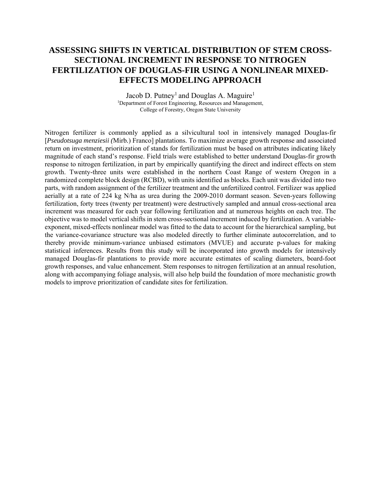## **ASSESSING SHIFTS IN VERTICAL DISTRIBUTION OF STEM CROSS-SECTIONAL INCREMENT IN RESPONSE TO NITROGEN FERTILIZATION OF DOUGLAS-FIR USING A NONLINEAR MIXED-EFFECTS MODELING APPROACH**

Jacob D. Putney<sup>1</sup> and Douglas A. Maguire<sup>1</sup> <sup>1</sup>Department of Forest Engineering, Resources and Management, College of Forestry, Oregon State University

Nitrogen fertilizer is commonly applied as a silvicultural tool in intensively managed Douglas-fir [*Pseudotsuga menziesii (*Mirb*.*) Franco] plantations. To maximize average growth response and associated return on investment, prioritization of stands for fertilization must be based on attributes indicating likely magnitude of each stand's response. Field trials were established to better understand Douglas-fir growth response to nitrogen fertilization, in part by empirically quantifying the direct and indirect effects on stem growth. Twenty-three units were established in the northern Coast Range of western Oregon in a randomized complete block design (RCBD), with units identified as blocks. Each unit was divided into two parts, with random assignment of the fertilizer treatment and the unfertilized control. Fertilizer was applied aerially at a rate of 224 kg N/ha as urea during the 2009-2010 dormant season. Seven-years following fertilization, forty trees (twenty per treatment) were destructively sampled and annual cross-sectional area increment was measured for each year following fertilization and at numerous heights on each tree. The objective was to model vertical shifts in stem cross-sectional increment induced by fertilization. A variableexponent, mixed-effects nonlinear model was fitted to the data to account for the hierarchical sampling, but the variance-covariance structure was also modeled directly to further eliminate autocorrelation, and to thereby provide minimum-variance unbiased estimators (MVUE) and accurate p-values for making statistical inferences. Results from this study will be incorporated into growth models for intensively managed Douglas-fir plantations to provide more accurate estimates of scaling diameters, board-foot growth responses, and value enhancement. Stem responses to nitrogen fertilization at an annual resolution, along with accompanying foliage analysis, will also help build the foundation of more mechanistic growth models to improve prioritization of candidate sites for fertilization.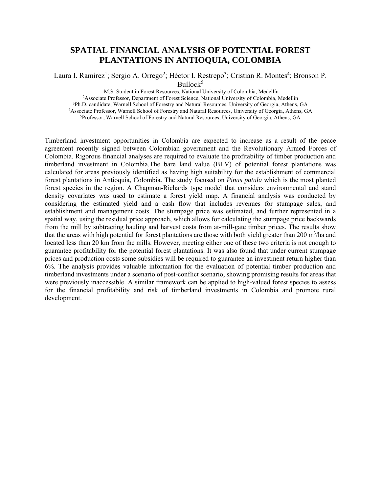#### **SPATIAL FINANCIAL ANALYSIS OF POTENTIAL FOREST PLANTATIONS IN ANTIOQUIA, COLOMBIA**

Laura I. Ramirez<sup>1</sup>; Sergio A. Orrego<sup>2</sup>; Héctor I. Restrepo<sup>3</sup>; Cristian R. Montes<sup>4</sup>; Bronson P.  $Bullock<sup>5</sup>$ <br><sup>1</sup>M.S. Student in Forest Resources, National University of Colombia, Medellín

<sup>2</sup> Associate Professor, Department of Forest Science, National University of Colombia, Medellin<br><sup>3</sup> Ph.D. candidate, Warnell School of Forestry and Natural Resources, University of Georgia, Athens, GA<br><sup>4</sup> Associate Profes

Timberland investment opportunities in Colombia are expected to increase as a result of the peace agreement recently signed between Colombian government and the Revolutionary Armed Forces of Colombia. Rigorous financial analyses are required to evaluate the profitability of timber production and timberland investment in Colombia.The bare land value (BLV) of potential forest plantations was calculated for areas previously identified as having high suitability for the establishment of commercial forest plantations in Antioquia, Colombia. The study focused on *Pinus patula* which is the most planted forest species in the region. A Chapman-Richards type model that considers environmental and stand density covariates was used to estimate a forest yield map. A financial analysis was conducted by considering the estimated yield and a cash flow that includes revenues for stumpage sales, and establishment and management costs. The stumpage price was estimated, and further represented in a spatial way, using the residual price approach, which allows for calculating the stumpage price backwards from the mill by subtracting hauling and harvest costs from at-mill-gate timber prices. The results show that the areas with high potential for forest plantations are those with both yield greater than 200 m<sup>3</sup>/ha and located less than 20 km from the mills. However, meeting either one of these two criteria is not enough to guarantee profitability for the potential forest plantations. It was also found that under current stumpage prices and production costs some subsidies will be required to guarantee an investment return higher than 6%. The analysis provides valuable information for the evaluation of potential timber production and timberland investments under a scenario of post-conflict scenario, showing promising results for areas that were previously inaccessible. A similar framework can be applied to high-valued forest species to assess for the financial profitability and risk of timberland investments in Colombia and promote rural development.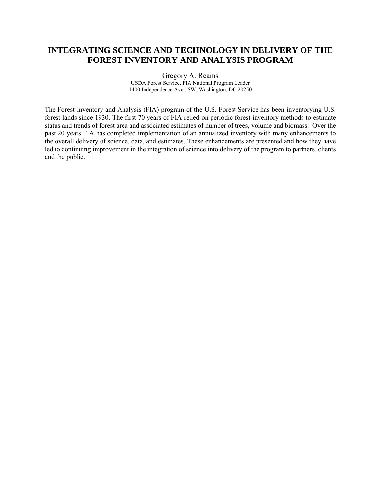#### **INTEGRATING SCIENCE AND TECHNOLOGY IN DELIVERY OF THE FOREST INVENTORY AND ANALYSIS PROGRAM**

Gregory A. Reams

USDA Forest Service, FIA National Program Leader 1400 Independence Ave., SW, Washington, DC 20250

The Forest Inventory and Analysis (FIA) program of the U.S. Forest Service has been inventorying U.S. forest lands since 1930. The first 70 years of FIA relied on periodic forest inventory methods to estimate status and trends of forest area and associated estimates of number of trees, volume and biomass. Over the past 20 years FIA has completed implementation of an annualized inventory with many enhancements to the overall delivery of science, data, and estimates. These enhancements are presented and how they have led to continuing improvement in the integration of science into delivery of the program to partners, clients and the public.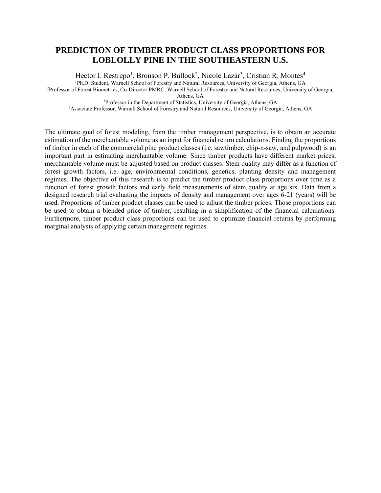#### **PREDICTION OF TIMBER PRODUCT CLASS PROPORTIONS FOR LOBLOLLY PINE IN THE SOUTHEASTERN U.S.**

Hector I. Restrepo<sup>1</sup>, Bronson P. Bullock<sup>2</sup>, Nicole Lazar<sup>3</sup>, Cristian R. Montes<sup>4</sup> <sup>1</sup>Ph.D. Student, Warnell School of Forestry and Natural Resources, University of Georgia, Athens, GA<br><sup>2</sup>Professor of Forest Biometrics, Co-Director PMRC, Warnell School of Forestry and Natural Resources, University of Geo

<sup>3</sup>Professor in the Department of Statistics, University of Georgia, Athens, GA<br><sup>4</sup>Associate Professor, Warnell School of Forestry and Natural Resources, University of Georgia, Athens, GA

The ultimate goal of forest modeling, from the timber management perspective, is to obtain an accurate estimation of the merchantable volume as an input for financial return calculations. Finding the proportions of timber in each of the commercial pine product classes (i.e. sawtimber, chip-n-saw, and pulpwood) is an important part in estimating merchantable volume. Since timber products have different market prices, merchantable volume must be adjusted based on product classes. Stem quality may differ as a function of forest growth factors, i.e. age, environmental conditions, genetics, planting density and management regimes. The objective of this research is to predict the timber product class proportions over time as a function of forest growth factors and early field measurements of stem quality at age six. Data from a designed research trial evaluating the impacts of density and management over ages 6-21 (years) will be used. Proportions of timber product classes can be used to adjust the timber prices. Those proportions can be used to obtain a blended price of timber, resulting in a simplification of the financial calculations. Furthermore, timber product class proportions can be used to optimize financial returns by performing marginal analysis of applying certain management regimes.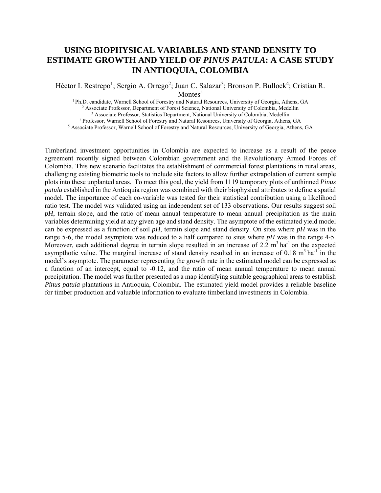#### **USING BIOPHYSICAL VARIABLES AND STAND DENSITY TO ESTIMATE GROWTH AND YIELD OF** *PINUS PATULA***: A CASE STUDY IN ANTIOQUIA, COLOMBIA**

Héctor I. Restrepo<sup>1</sup>; Sergio A. Orrego<sup>2</sup>; Juan C. Salazar<sup>3</sup>; Bronson P. Bullock<sup>4</sup>; Cristian R. Montes<sup>5</sup>

<sup>1</sup> Ph.D. candidate, Warnell School of Forestry and Natural Resources, University of Georgia, Athens, GA<br><sup>2</sup> Associate Professor, Department of Forest Science, National University of Colombia, Medellin<br><sup>3</sup> Associate Profe

Timberland investment opportunities in Colombia are expected to increase as a result of the peace agreement recently signed between Colombian government and the Revolutionary Armed Forces of Colombia. This new scenario facilitates the establishment of commercial forest plantations in rural areas, challenging existing biometric tools to include site factors to allow further extrapolation of current sample plots into these unplanted areas. To meet this goal, the yield from 1119 temporary plots of unthinned *Pinus patula* established in the Antioquia region was combined with their biophysical attributes to define a spatial model. The importance of each co-variable was tested for their statistical contribution using a likelihood ratio test. The model was validated using an independent set of 133 observations. Our results suggest soil *pH*, terrain slope, and the ratio of mean annual temperature to mean annual precipitation as the main variables determining yield at any given age and stand density. The asymptote of the estimated yield model can be expressed as a function of soil *pH*, terrain slope and stand density. On sites where *pH* was in the range 5-6, the model asymptote was reduced to a half compared to sites where *pH* was in the range 4-5. Moreover, each additional degree in terrain slope resulted in an increase of 2.2  $m<sup>3</sup>$  ha<sup>-1</sup> on the expected asympthotic value. The marginal increase of stand density resulted in an increase of  $0.18 \text{ m}^3 \text{ ha}^{-1}$  in the model's asymptote. The parameter representing the growth rate in the estimated model can be expressed as a function of an intercept, equal to -0.12, and the ratio of mean annual temperature to mean annual precipitation. The model was further presented as a map identifying suitable geographical areas to establish *Pinus patula* plantations in Antioquia, Colombia. The estimated yield model provides a reliable baseline for timber production and valuable information to evaluate timberland investments in Colombia.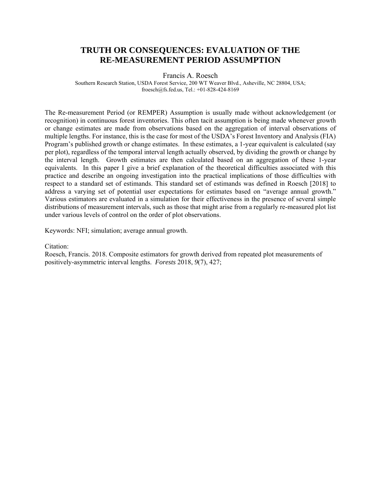#### **TRUTH OR CONSEQUENCES: EVALUATION OF THE RE-MEASUREMENT PERIOD ASSUMPTION**

Francis A. Roesch

Southern Research Station, USDA Forest Service, 200 WT Weaver Blvd., Asheville, NC 28804, USA; froesch@fs.fed.us, Tel.: +01-828-424-8169

The Re-measurement Period (or REMPER) Assumption is usually made without acknowledgement (or recognition) in continuous forest inventories. This often tacit assumption is being made whenever growth or change estimates are made from observations based on the aggregation of interval observations of multiple lengths. For instance, this is the case for most of the USDA's Forest Inventory and Analysis (FIA) Program's published growth or change estimates. In these estimates, a 1-year equivalent is calculated (say per plot), regardless of the temporal interval length actually observed, by dividing the growth or change by the interval length. Growth estimates are then calculated based on an aggregation of these 1-year equivalents. In this paper I give a brief explanation of the theoretical difficulties associated with this practice and describe an ongoing investigation into the practical implications of those difficulties with respect to a standard set of estimands. This standard set of estimands was defined in Roesch [2018] to address a varying set of potential user expectations for estimates based on "average annual growth." Various estimators are evaluated in a simulation for their effectiveness in the presence of several simple distributions of measurement intervals, such as those that might arise from a regularly re-measured plot list under various levels of control on the order of plot observations.

Keywords: NFI; simulation; average annual growth.

#### Citation:

Roesch, Francis. 2018. Composite estimators for growth derived from repeated plot measurements of positively-asymmetric interval lengths. *Forests* 2018, *9*(7), 427;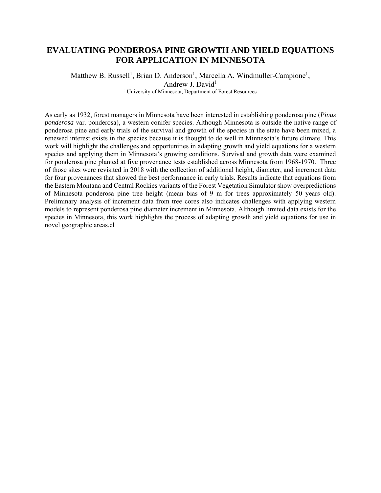### **EVALUATING PONDEROSA PINE GROWTH AND YIELD EQUATIONS FOR APPLICATION IN MINNESOTA**

Matthew B. Russell<sup>1</sup>, Brian D. Anderson<sup>1</sup>, Marcella A. Windmuller-Campione<sup>1</sup>, Andrew J. David<sup>1</sup> 1 University of Minnesota, Department of Forest Resources

As early as 1932, forest managers in Minnesota have been interested in establishing ponderosa pine (*Pinus ponderosa* var. ponderosa), a western conifer species. Although Minnesota is outside the native range of ponderosa pine and early trials of the survival and growth of the species in the state have been mixed, a renewed interest exists in the species because it is thought to do well in Minnesota's future climate. This work will highlight the challenges and opportunities in adapting growth and yield equations for a western species and applying them in Minnesota's growing conditions. Survival and growth data were examined for ponderosa pine planted at five provenance tests established across Minnesota from 1968-1970. Three of those sites were revisited in 2018 with the collection of additional height, diameter, and increment data for four provenances that showed the best performance in early trials. Results indicate that equations from the Eastern Montana and Central Rockies variants of the Forest Vegetation Simulator show overpredictions of Minnesota ponderosa pine tree height (mean bias of 9 m for trees approximately 50 years old). Preliminary analysis of increment data from tree cores also indicates challenges with applying western models to represent ponderosa pine diameter increment in Minnesota. Although limited data exists for the species in Minnesota, this work highlights the process of adapting growth and yield equations for use in novel geographic areas.cl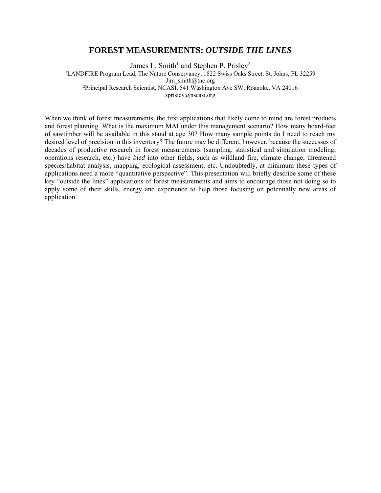#### **FOREST MEASUREMENTS:** *OUTSIDE THE LINES*

James L. Smith<sup>1</sup> and Stephen P. Prisley<sup>2</sup> <sup>1</sup>LANDFIRE Program Lead, The Nature Conservancy, 1822 Swiss Oaks Street, St. Johns, FL 32259 Jim\_smith@tnc.org<br><sup>2</sup>Principal Research Scientist, NCASI, 541 Washington Ave SW, Roanoke, VA 24016<sup>2</sup> sprisley@nscasi.org

When we think of forest measurements, the first applications that likely come to mind are forest products and forest planning. What is the maximum MAI under this management scenario? How many board-feet of sawtimber will be available in this stand at age 30? How many sample points do I need to reach my desired level of precision in this inventory? The future may be different, however, because the successes of decades of productive research in forest measurements (sampling, statistical and simulation modeling, operations research, etc.) have *bled* into other fields, such as wildland fire, climate change, threatened species/habitat analysis, mapping, ecological assessment, etc. Undoubtedly, at minimum these types of applications need a more "quantitative perspective". This presentation will briefly describe some of these key "outside the lines" applications of forest measurements and aims to encourage those not doing so to apply some of their skills, energy and experience to help those focusing on potentially new areas of application.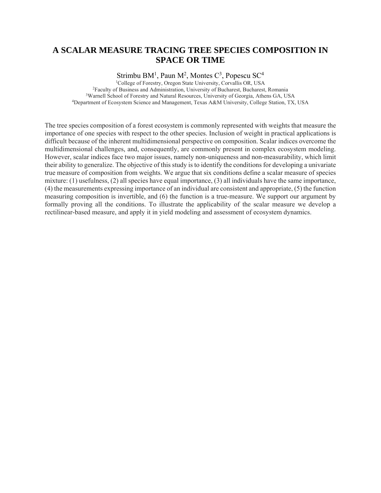#### **A SCALAR MEASURE TRACING TREE SPECIES COMPOSITION IN SPACE OR TIME**

Strimbu BM<sup>1</sup>, Paun M<sup>2</sup>, Montes C<sup>3</sup>, Popescu SC<sup>4</sup>

<sup>1</sup>College of Forestry, Oregon State University, Corvallis OR, USA<br><sup>2</sup>Faculty of Business and Administration, University of Bucharest, Bucharest, Romania<sup>3</sup>Warnell School of Forestry and Natural Resources, University of Ge

The tree species composition of a forest ecosystem is commonly represented with weights that measure the importance of one species with respect to the other species. Inclusion of weight in practical applications is difficult because of the inherent multidimensional perspective on composition. Scalar indices overcome the multidimensional challenges, and, consequently, are commonly present in complex ecosystem modeling. However, scalar indices face two major issues, namely non-uniqueness and non-measurability, which limit their ability to generalize. The objective of this study is to identify the conditions for developing a univariate true measure of composition from weights. We argue that six conditions define a scalar measure of species mixture: (1) usefulness, (2) all species have equal importance, (3) all individuals have the same importance, (4) the measurements expressing importance of an individual are consistent and appropriate, (5) the function measuring composition is invertible, and (6) the function is a true-measure. We support our argument by formally proving all the conditions. To illustrate the applicability of the scalar measure we develop a rectilinear-based measure, and apply it in yield modeling and assessment of ecosystem dynamics.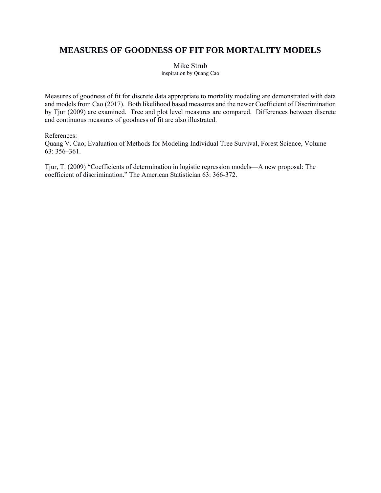## **MEASURES OF GOODNESS OF FIT FOR MORTALITY MODELS**

Mike Strub

inspiration by Quang Cao

Measures of goodness of fit for discrete data appropriate to mortality modeling are demonstrated with data and models from Cao (2017). Both likelihood based measures and the newer Coefficient of Discrimination by Tjur (2009) are examined. Tree and plot level measures are compared. Differences between discrete and continuous measures of goodness of fit are also illustrated.

References:

Quang V. Cao; Evaluation of Methods for Modeling Individual Tree Survival, Forest Science, Volume 63: 356–361.

Tjur, T. (2009) "Coefficients of determination in logistic regression models—A new proposal: The coefficient of discrimination." The American Statistician 63: 366-372.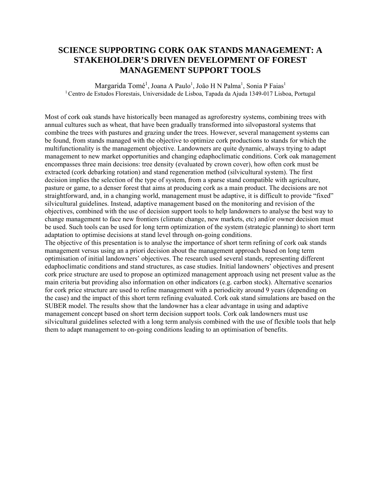### **SCIENCE SUPPORTING CORK OAK STANDS MANAGEMENT: A STAKEHOLDER'S DRIVEN DEVELOPMENT OF FOREST MANAGEMENT SUPPORT TOOLS**

Margarida Tomé<sup>1</sup>, Joana A Paulo<sup>1</sup>, João H N Palma<sup>1</sup>, Sonia P Faias<sup>1</sup> <sup>1</sup> Centro de Estudos Florestais, Universidade de Lisboa, Tapada da Ajuda 1349-017 Lisboa, Portugal

Most of cork oak stands have historically been managed as agroforestry systems, combining trees with annual cultures such as wheat, that have been gradually transformed into silvopastoral systems that combine the trees with pastures and grazing under the trees. However, several management systems can be found, from stands managed with the objective to optimize cork productions to stands for which the multifunctionality is the management objective. Landowners are quite dynamic, always trying to adapt management to new market opportunities and changing edaphoclimatic conditions. Cork oak management encompasses three main decisions: tree density (evaluated by crown cover), how often cork must be extracted (cork debarking rotation) and stand regeneration method (silvicultural system). The first decision implies the selection of the type of system, from a sparse stand compatible with agriculture, pasture or game, to a denser forest that aims at producing cork as a main product. The decisions are not straightforward, and, in a changing world, management must be adaptive, it is difficult to provide "fixed" silvicultural guidelines. Instead, adaptive management based on the monitoring and revision of the objectives, combined with the use of decision support tools to help landowners to analyse the best way to change management to face new frontiers (climate change, new markets, etc) and/or owner decision must be used. Such tools can be used for long term optimization of the system (strategic planning) to short term adaptation to optimise decisions at stand level through on-going conditions.

The objective of this presentation is to analyse the importance of short term refining of cork oak stands management versus using an a priori decision about the management approach based on long term optimisation of initial landowners' objectives. The research used several stands, representing different edaphoclimatic conditions and stand structures, as case studies. Initial landowners' objectives and present cork price structure are used to propose an optimized management approach using net present value as the main criteria but providing also information on other indicators (e.g. carbon stock). Alternative scenarios for cork price structure are used to refine management with a periodicity around 9 years (depending on the case) and the impact of this short term refining evaluated. Cork oak stand simulations are based on the SUBER model. The results show that the landowner has a clear advantage in using and adaptive management concept based on short term decision support tools. Cork oak landowners must use silvicultural guidelines selected with a long term analysis combined with the use of flexible tools that help them to adapt management to on-going conditions leading to an optimisation of benefits.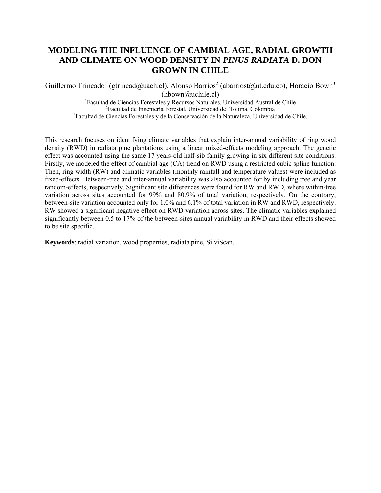## **MODELING THE INFLUENCE OF CAMBIAL AGE, RADIAL GROWTH AND CLIMATE ON WOOD DENSITY IN** *PINUS RADIATA* **D. DON GROWN IN CHILE**

Guillermo Trincado<sup>1</sup> (gtrincad@uach.cl), Alonso Barrios<sup>2</sup> (abarriost@ut.edu.co), Horacio Bown<sup>3</sup> (hbown@uchile.cl)<br><sup>1</sup>Eacultad de Ciencias Eorestales y Recursos Naturales

Facultad de Ciencias Forestales y Recursos Naturales, Universidad Austral de Chile 2 Facultad de Ingeniería Forestal, Universidad del Tolima, Colombia 3 Facultad de Ciencias Forestales y de la Conservación de la Naturaleza, Universidad de Chile.

This research focuses on identifying climate variables that explain inter-annual variability of ring wood density (RWD) in radiata pine plantations using a linear mixed-effects modeling approach. The genetic effect was accounted using the same 17 years-old half-sib family growing in six different site conditions. Firstly, we modeled the effect of cambial age (CA) trend on RWD using a restricted cubic spline function. Then, ring width (RW) and climatic variables (monthly rainfall and temperature values) were included as fixed-effects. Between-tree and inter-annual variability was also accounted for by including tree and year random-effects, respectively. Significant site differences were found for RW and RWD, where within-tree variation across sites accounted for 99% and 80.9% of total variation, respectively. On the contrary, between-site variation accounted only for 1.0% and 6.1% of total variation in RW and RWD, respectively. RW showed a significant negative effect on RWD variation across sites. The climatic variables explained significantly between 0.5 to 17% of the between-sites annual variability in RWD and their effects showed to be site specific.

**Keywords**: radial variation, wood properties, radiata pine, SilviScan.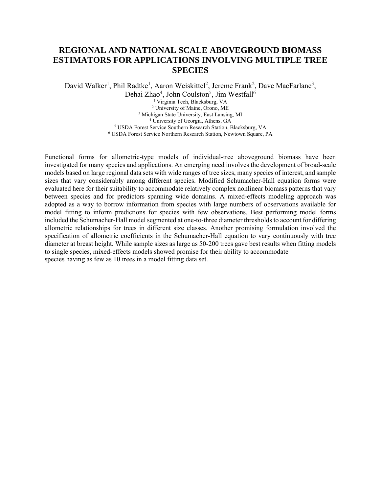#### **REGIONAL AND NATIONAL SCALE ABOVEGROUND BIOMASS ESTIMATORS FOR APPLICATIONS INVOLVING MULTIPLE TREE SPECIES**

David Walker<sup>1</sup>, Phil Radtke<sup>1</sup>, Aaron Weiskittel<sup>2</sup>, Jereme Frank<sup>2</sup>, Dave MacFarlane<sup>3</sup>, Dehai Zhao<sup>4</sup>, John Coulston<sup>5</sup>, Jim Westfall<sup>6</sup> <sup>1</sup> Virginia Tech, Blacksburg, VA<br><sup>2</sup> University of Maine, Orono, ME <sup>3</sup> Michigan State University, East Lansing, MI<br><sup>4</sup> University of Georgia, Athens, GA<br><sup>5</sup> USDA Forest Service Southern Research Station, Blacksburg, VA <sup>6</sup> USDA Forest Service Northern Research Station, Newtown Square, PA

Functional forms for allometric-type models of individual-tree aboveground biomass have been investigated for many species and applications. An emerging need involves the development of broad-scale models based on large regional data sets with wide ranges of tree sizes, many species of interest, and sample sizes that vary considerably among different species. Modified Schumacher-Hall equation forms were evaluated here for their suitability to accommodate relatively complex nonlinear biomass patterns that vary between species and for predictors spanning wide domains. A mixed-effects modeling approach was adopted as a way to borrow information from species with large numbers of observations available for model fitting to inform predictions for species with few observations. Best performing model forms included the Schumacher-Hall model segmented at one-to-three diameter thresholds to account for differing allometric relationships for trees in different size classes. Another promising formulation involved the specification of allometric coefficients in the Schumacher-Hall equation to vary continuously with tree diameter at breast height. While sample sizes as large as 50-200 trees gave best results when fitting models to single species, mixed-effects models showed promise for their ability to accommodate species having as few as 10 trees in a model fitting data set.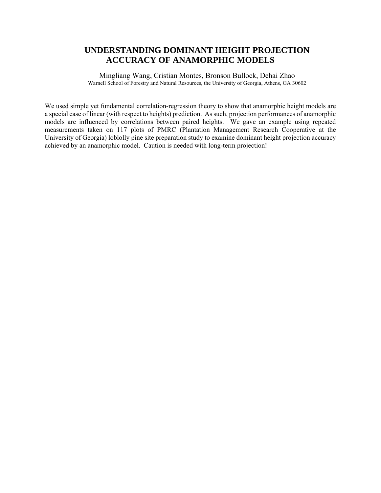#### **UNDERSTANDING DOMINANT HEIGHT PROJECTION ACCURACY OF ANAMORPHIC MODELS**

Mingliang Wang, Cristian Montes, Bronson Bullock, Dehai Zhao Warnell School of Forestry and Natural Resources, the University of Georgia, Athens, GA 30602

We used simple yet fundamental correlation-regression theory to show that anamorphic height models are a special case of linear (with respect to heights) prediction. As such, projection performances of anamorphic models are influenced by correlations between paired heights. We gave an example using repeated measurements taken on 117 plots of PMRC (Plantation Management Research Cooperative at the University of Georgia) loblolly pine site preparation study to examine dominant height projection accuracy achieved by an anamorphic model. Caution is needed with long-term projection!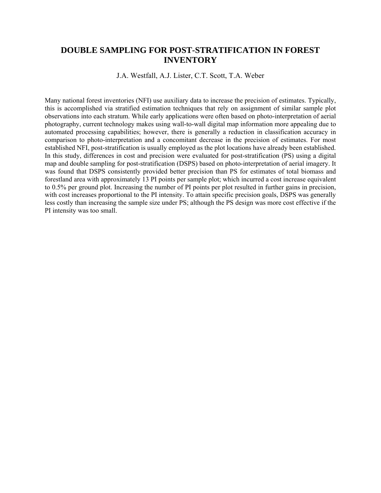#### **DOUBLE SAMPLING FOR POST-STRATIFICATION IN FOREST INVENTORY**

J.A. Westfall, A.J. Lister, C.T. Scott, T.A. Weber

Many national forest inventories (NFI) use auxiliary data to increase the precision of estimates. Typically, this is accomplished via stratified estimation techniques that rely on assignment of similar sample plot observations into each stratum. While early applications were often based on photo-interpretation of aerial photography, current technology makes using wall-to-wall digital map information more appealing due to automated processing capabilities; however, there is generally a reduction in classification accuracy in comparison to photo-interpretation and a concomitant decrease in the precision of estimates. For most established NFI, post-stratification is usually employed as the plot locations have already been established. In this study, differences in cost and precision were evaluated for post-stratification (PS) using a digital map and double sampling for post-stratification (DSPS) based on photo-interpretation of aerial imagery. It was found that DSPS consistently provided better precision than PS for estimates of total biomass and forestland area with approximately 13 PI points per sample plot; which incurred a cost increase equivalent to 0.5% per ground plot. Increasing the number of PI points per plot resulted in further gains in precision, with cost increases proportional to the PI intensity. To attain specific precision goals, DSPS was generally less costly than increasing the sample size under PS; although the PS design was more cost effective if the PI intensity was too small.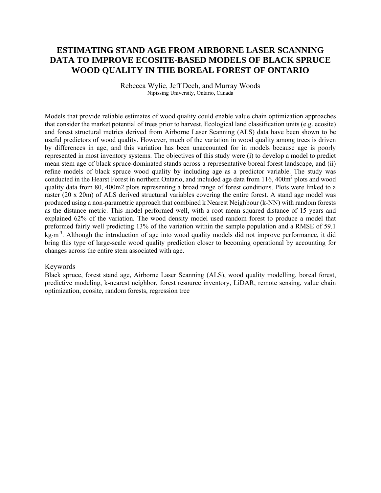#### **ESTIMATING STAND AGE FROM AIRBORNE LASER SCANNING DATA TO IMPROVE ECOSITE-BASED MODELS OF BLACK SPRUCE WOOD QUALITY IN THE BOREAL FOREST OF ONTARIO**

Rebecca Wylie, Jeff Dech, and Murray Woods Nipissing University, Ontario, Canada

Models that provide reliable estimates of wood quality could enable value chain optimization approaches that consider the market potential of trees prior to harvest. Ecological land classification units (e.g. ecosite) and forest structural metrics derived from Airborne Laser Scanning (ALS) data have been shown to be useful predictors of wood quality. However, much of the variation in wood quality among trees is driven by differences in age, and this variation has been unaccounted for in models because age is poorly represented in most inventory systems. The objectives of this study were (i) to develop a model to predict mean stem age of black spruce-dominated stands across a representative boreal forest landscape, and (ii) refine models of black spruce wood quality by including age as a predictor variable. The study was conducted in the Hearst Forest in northern Ontario, and included age data from 116, 400m<sup>2</sup> plots and wood quality data from 80, 400m2 plots representing a broad range of forest conditions. Plots were linked to a raster (20 x 20m) of ALS derived structural variables covering the entire forest. A stand age model was produced using a non-parametric approach that combined k Nearest Neighbour (k-NN) with random forests as the distance metric. This model performed well, with a root mean squared distance of 15 years and explained 62% of the variation. The wood density model used random forest to produce a model that preformed fairly well predicting 13% of the variation within the sample population and a RMSE of 59.1 kg $\rm\,m^3$ . Although the introduction of age into wood quality models did not improve performance, it did bring this type of large-scale wood quality prediction closer to becoming operational by accounting for changes across the entire stem associated with age.

#### Keywords

Black spruce, forest stand age, Airborne Laser Scanning (ALS), wood quality modelling, boreal forest, predictive modeling, k-nearest neighbor, forest resource inventory, LiDAR, remote sensing, value chain optimization, ecosite, random forests, regression tree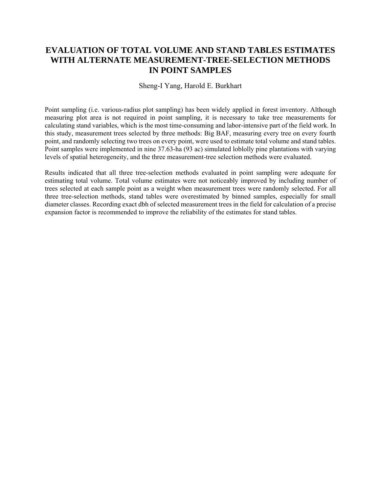## **EVALUATION OF TOTAL VOLUME AND STAND TABLES ESTIMATES WITH ALTERNATE MEASUREMENT-TREE-SELECTION METHODS IN POINT SAMPLES**

#### Sheng-I Yang, Harold E. Burkhart

Point sampling (i.e. various-radius plot sampling) has been widely applied in forest inventory. Although measuring plot area is not required in point sampling, it is necessary to take tree measurements for calculating stand variables, which is the most time-consuming and labor-intensive part of the field work. In this study, measurement trees selected by three methods: Big BAF, measuring every tree on every fourth point, and randomly selecting two trees on every point, were used to estimate total volume and stand tables. Point samples were implemented in nine 37.63-ha (93 ac) simulated loblolly pine plantations with varying levels of spatial heterogeneity, and the three measurement-tree selection methods were evaluated.

Results indicated that all three tree-selection methods evaluated in point sampling were adequate for estimating total volume. Total volume estimates were not noticeably improved by including number of trees selected at each sample point as a weight when measurement trees were randomly selected. For all three tree-selection methods, stand tables were overestimated by binned samples, especially for small diameter classes. Recording exact dbh of selected measurement trees in the field for calculation of a precise expansion factor is recommended to improve the reliability of the estimates for stand tables.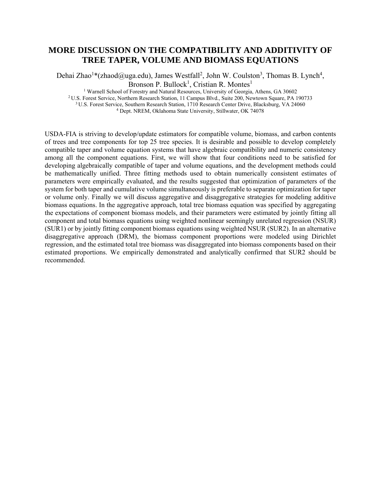#### **MORE DISCUSSION ON THE COMPATIBILITY AND ADDITIVITY OF TREE TAPER, VOLUME AND BIOMASS EQUATIONS**

Dehai Zhao<sup>1</sup>\*(zhaod@uga.edu), James Westfall<sup>2</sup>, John W. Coulston<sup>3</sup>, Thomas B. Lynch<sup>4</sup>, Bronson P. Bullock<sup>1</sup>, Cristian R. Montes<sup>1</sup>

<sup>1</sup> Warnell School of Forestry and Natural Resources, University of Georgia, Athens, GA 30602<br><sup>2</sup> U.S. Forest Service, Northern Research Station, 11 Campus Blvd., Suite 200, Newtown Square, PA 190733<br><sup>3</sup> U.S. Forest Servic

USDA-FIA is striving to develop/update estimators for compatible volume, biomass, and carbon contents of trees and tree components for top 25 tree species. It is desirable and possible to develop completely compatible taper and volume equation systems that have algebraic compatibility and numeric consistency among all the component equations. First, we will show that four conditions need to be satisfied for developing algebraically compatible of taper and volume equations, and the development methods could be mathematically unified. Three fitting methods used to obtain numerically consistent estimates of parameters were empirically evaluated, and the results suggested that optimization of parameters of the system for both taper and cumulative volume simultaneously is preferable to separate optimization for taper or volume only. Finally we will discuss aggregative and disaggregative strategies for modeling additive biomass equations. In the aggregative approach, total tree biomass equation was specified by aggregating the expectations of component biomass models, and their parameters were estimated by jointly fitting all component and total biomass equations using weighted nonlinear seemingly unrelated regression (NSUR) (SUR1) or by jointly fitting component biomass equations using weighted NSUR (SUR2). In an alternative disaggregative approach (DRM), the biomass component proportions were modeled using Dirichlet regression, and the estimated total tree biomass was disaggregated into biomass components based on their estimated proportions. We empirically demonstrated and analytically confirmed that SUR2 should be recommended.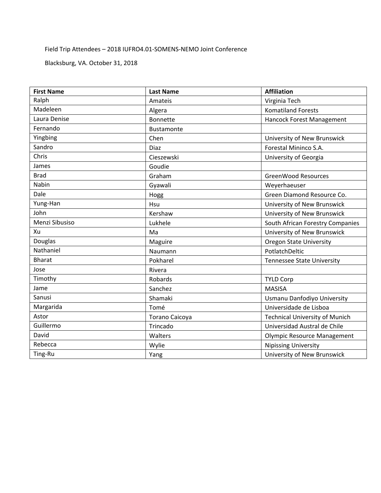#### Field Trip Attendees – 2018 IUFRO4.01‐SOMENS‐NEMO Joint Conference

Blacksburg, VA. October 31, 2018

| <b>First Name</b> | <b>Last Name</b> | <b>Affiliation</b>                    |
|-------------------|------------------|---------------------------------------|
| Ralph             | Amateis          | Virginia Tech                         |
| Madeleen          | Algera           | <b>Komatiland Forests</b>             |
| Laura Denise      | Bonnette         | Hancock Forest Management             |
| Fernando          | Bustamonte       |                                       |
| Yingbing          | Chen             | University of New Brunswick           |
| Sandro            | <b>Diaz</b>      | Forestal Mininco S.A.                 |
| Chris             | Cieszewski       | University of Georgia                 |
| James             | Goudie           |                                       |
| <b>Brad</b>       | Graham           | <b>GreenWood Resources</b>            |
| Nabin             | Gyawali          | Weyerhaeuser                          |
| Dale              | Hogg             | Green Diamond Resource Co.            |
| Yung-Han          | Hsu              | University of New Brunswick           |
| John              | Kershaw          | University of New Brunswick           |
| Menzi Sibusiso    | Lukhele          | South African Forestry Companies      |
| Xu                | Ma               | University of New Brunswick           |
| Douglas           | Maguire          | <b>Oregon State University</b>        |
| Nathaniel         | Naumann          | PotlatchDeltic                        |
| <b>Bharat</b>     | Pokharel         | <b>Tennessee State University</b>     |
| Jose              | Rivera           |                                       |
| Timothy           | Robards          | <b>TYLD Corp</b>                      |
| Jame              | Sanchez          | <b>MASISA</b>                         |
| Sanusi            | Shamaki          | Usmanu Danfodiyo University           |
| Margarida         | Tomé             | Universidade de Lisboa                |
| Astor             | Torano Caicoya   | <b>Technical University of Munich</b> |
| Guillermo         | Trincado         | Universidad Austral de Chile          |
| David             | Walters          | <b>Olympic Resource Management</b>    |
| Rebecca           | Wylie            | <b>Nipissing University</b>           |
| Ting-Ru           | Yang             | University of New Brunswick           |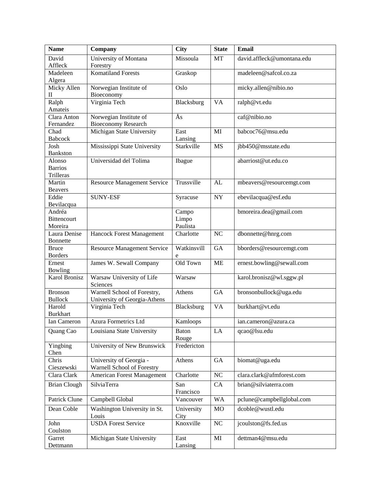| <b>Name</b>              | Company                            | <b>City</b> | <b>State</b>   | <b>Email</b>               |
|--------------------------|------------------------------------|-------------|----------------|----------------------------|
| David                    | University of Montana              | Missoula    | MT             | david.affleck@umontana.edu |
| Affleck                  | Forestry                           |             |                |                            |
| Madeleen                 | Komatiland Forests                 | Graskop     |                | madeleen@safcol.co.za      |
| Algera                   |                                    |             |                |                            |
| Micky Allen              | Norwegian Institute of             | Oslo        |                | micky.allen@nibio.no       |
| $\scriptstyle\rm II$     | Bioeconomy                         |             |                |                            |
| Ralph                    | Virginia Tech                      | Blacksburg  | <b>VA</b>      | ralph@vt.edu               |
| Amateis                  |                                    |             |                |                            |
| Clara Anton              | Norwegian Institute of             | Ås          |                | caf@nibio.no               |
| Fernandez                | <b>Bioeconomy Research</b>         |             |                |                            |
| Chad                     | Michigan State University          | East        | MI             | babcoc76@msu.edu           |
| Babcock                  |                                    | Lansing     |                |                            |
| Josh                     | Mississippi State University       | Starkville  | <b>MS</b>      | jbb450@msstate.edu         |
| <b>Bankston</b>          |                                    |             |                |                            |
| Alonso<br><b>Barrios</b> | Universidad del Tolima             | Ibague      |                | abarriost@ut.edu.co        |
| Trilleras                |                                    |             |                |                            |
| Martin                   | <b>Resource Management Service</b> | Trussville  | AL             |                            |
| <b>Beavers</b>           |                                    |             |                | mbeavers@resourcemgt.com   |
| Eddie                    | <b>SUNY-ESF</b>                    | Syracuse    | $\bold{NY}$    | ebevilacqua@esf.edu        |
| Bevilacqua               |                                    |             |                |                            |
| Andréa                   |                                    | Campo       |                | bmoreira.dea@gmail.com     |
| <b>Bittencourt</b>       |                                    | Limpo       |                |                            |
| Moreira                  |                                    | Paulista    |                |                            |
| Laura Denise             | Hancock Forest Management          | Charlotte   | N <sub>C</sub> | dbonnette@hnrg.com         |
| <b>Bonnette</b>          |                                    |             |                |                            |
| <b>Bruce</b>             | Resource Management Service        | Watkinsvill | GA             | bborders@resourcemgt.com   |
| <b>Borders</b>           |                                    | e           |                |                            |
| Ernest                   | James W. Sewall Company            | Old Town    | <b>ME</b>      | ernest.bowling@sewall.com  |
| Bowling                  |                                    |             |                |                            |
| <b>Karol Bronisz</b>     | Warsaw University of Life          | Warsaw      |                | karol.bronisz@wl.sggw.pl   |
|                          | Sciences                           |             |                |                            |
| <b>Bronson</b>           | Warnell School of Forestry,        | Athens      | GA             | bronsonbullock@uga.edu     |
| <b>Bullock</b>           | University of Georgia-Athens       |             |                |                            |
| Harold                   | Virginia Tech                      | Blacksburg  | <b>VA</b>      | burkhart@vt.edu            |
| <b>Burkhart</b>          |                                    |             |                |                            |
| Ian Cameron              | <b>Azura Formetrics Ltd</b>        | Kamloops    |                | ian.cameron@azura.ca       |
| Quang Cao                | Louisiana State University         | Baton       | LA             | qcao@lsu.edu               |
|                          |                                    | Rouge       |                |                            |
| Yingbing                 | University of New Brunswick        | Fredericton |                |                            |
| Chen                     |                                    |             |                |                            |
| Chris                    | University of Georgia -            | Athens      | ${\rm GA}$     | biomat@uga.edu             |
| Cieszewski               | Warnell School of Forestry         |             |                |                            |
| Clara Clark              | American Forest Management         | Charlotte   | $\rm NC$       | clara.clark@afmforest.com  |
| <b>Brian Clough</b>      | SilviaTerra                        | San         | CA             | brian@silviaterra.com      |
|                          |                                    | Francisco   |                |                            |
| Patrick Clune            | Campbell Global                    | Vancouver   | <b>WA</b>      | pclune@campbellglobal.com  |
| Dean Coble               | Washington University in St.       | University  | MO             | dcoble@wustl.edu           |
|                          | Louis                              | City        |                |                            |
| John                     | <b>USDA Forest Service</b>         | Knoxville   | $\rm NC$       | jcoulston@fs.fed.us        |
| Coulston                 |                                    |             |                |                            |
| Garret                   | Michigan State University          | East        | MI             | dettman4@msu.edu           |
| Dettmann                 |                                    | Lansing     |                |                            |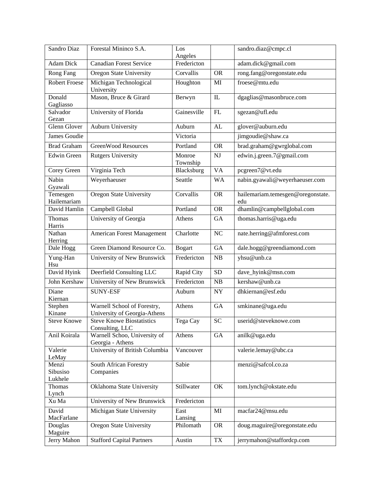| Sandro Diaz             | Forestal Mininco S.A.                                       | Los                    |                        | sandro.diaz@cmpc.cl                      |
|-------------------------|-------------------------------------------------------------|------------------------|------------------------|------------------------------------------|
| <b>Adam Dick</b>        | <b>Canadian Forest Service</b>                              | Angeles<br>Fredericton |                        | adam.dick@gmail.com                      |
| Rong Fang               | <b>Oregon State University</b>                              | Corvallis              | <b>OR</b>              | rong.fang@oregonstate.edu                |
|                         |                                                             |                        |                        | froese@mtu.edu                           |
| <b>Robert Froese</b>    | Michigan Technological<br>University                        | Houghton               | MI                     |                                          |
| Donald<br>Gagliasso     | Mason, Bruce & Girard                                       | Berwyn                 | IL                     | dgaglias@masonbruce.com                  |
| Salvador<br>Gezan       | University of Florida                                       | Gainesville            | FL                     | sgezan@ufl.edu                           |
| <b>Glenn Glover</b>     | <b>Auburn University</b>                                    | Auburn                 | AL                     | glover@auburn.edu                        |
| James Goudie            |                                                             | Victoria               |                        | jimgoudie@shaw.ca                        |
| <b>Brad Graham</b>      | <b>GreenWood Resources</b>                                  | Portland               | <b>OR</b>              | brad.graham@gwrglobal.com                |
| <b>Edwin Green</b>      | <b>Rutgers University</b>                                   | Monroe<br>Township     | $\mathbf{N}\mathbf{J}$ | edwin.j.green.7@gmail.com                |
| Corey Green             | Virginia Tech                                               | Blacksburg             | $\overline{VA}$        | pcgreen7@vt.edu                          |
| Nabin<br>Gyawali        | Weyerhaeuser                                                | Seattle                | <b>WA</b>              | nabin.gyawali@weyerhaeuser.com           |
| Temesgen<br>Hailemariam | <b>Oregon State University</b>                              | Corvallis              | <b>OR</b>              | hailemariam.temesgen@oregonstate.<br>edu |
| David Hamlin            | Campbell Global                                             | Portland               | <b>OR</b>              | dhamlin@campbellglobal.com               |
| Thomas<br>Harris        | University of Georgia                                       | Athens                 | GA                     | thomas.harris@uga.edu                    |
| Nathan                  | <b>American Forest Management</b>                           | Charlotte              | NC                     | nate.herring@afmforest.com               |
| Herring                 |                                                             |                        |                        |                                          |
| Dale Hogg               | Green Diamond Resource Co.                                  | <b>Bogart</b>          | GA                     | dale.hogg@greendiamond.com               |
| Yung-Han<br>Hsu         | University of New Brunswick                                 | Fredericton            | NB                     | yhsu@unb.ca                              |
| David Hyink             | Deerfield Consulting LLC                                    | Rapid City             | $\overline{SD}$        | dave_hyink@msn.com                       |
| John Kershaw            | University of New Brunswick                                 | Fredericton            | NB                     | kershaw@unb.ca                           |
| Diane<br>Kiernan        | <b>SUNY-ESF</b>                                             | Auburn                 | <b>NY</b>              | dhkiernan@esf.edu                        |
| Stephen<br>Kinane       | Warnell School of Forestry,<br>University of Georgia-Athens | Athens                 | GA                     | smkinane@uga.edu                         |
| <b>Steve Knowe</b>      | <b>Steve Knowe Biostatistics</b>                            | Tega Cay               | <b>SC</b>              | userid@steveknowe.com                    |
| Anil Koirala            | Consulting, LLC<br>Warnell Schoo, University of             | Athens                 | GA                     | anilk@uga.edu                            |
| Valerie                 | Georgia - Athens<br>University of British Columbia          | Vancouver              |                        | valerie.lemay@ubc.ca                     |
| LeMay<br>Menzi          | South African Forestry                                      | Sabie                  |                        | menzi@safcol.co.za                       |
| Sibusiso                | Companies                                                   |                        |                        |                                          |
| Lukhele                 |                                                             |                        |                        |                                          |
| Thomas<br>Lynch         | Oklahoma State University                                   | Stillwater             | OK                     | tom.lynch@okstate.edu                    |
| Xu Ma                   | University of New Brunswick                                 | Fredericton            |                        |                                          |
| David                   | Michigan State University                                   | East                   | MI                     | macfar24@msu.edu                         |
| MacFarlane              |                                                             | Lansing                |                        |                                          |
| Douglas<br>Maguire      | Oregon State University                                     | Philomath              | <b>OR</b>              | doug.maguire@oregonstate.edu             |
| Jerry Mahon             | <b>Stafford Capital Partners</b>                            | Austin                 | <b>TX</b>              | jerrymahon@staffordcp.com                |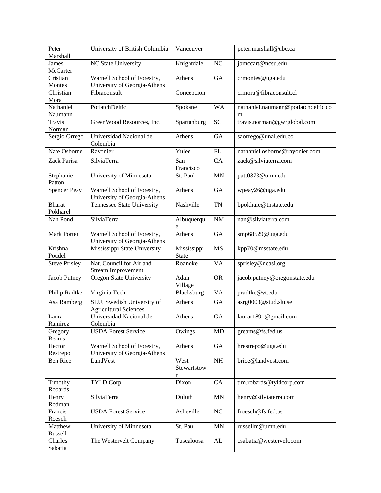| Peter<br>Marshall         | University of British Columbia                              | Vancouver                   |                 | peter.marshall@ubc.ca                    |
|---------------------------|-------------------------------------------------------------|-----------------------------|-----------------|------------------------------------------|
| <b>James</b><br>McCarter  | NC State University                                         | Knightdale                  | NC              | jbmccart@ncsu.edu                        |
| Cristian<br>Montes        | Warnell School of Forestry,<br>University of Georgia-Athens | Athens                      | <b>GA</b>       | crmontes@uga.edu                         |
| Christian<br>Mora         | Fibraconsult                                                | Concepcion                  |                 | crmora@fibraconsult.cl                   |
| Nathaniel<br>Naumann      | PotlatchDeltic                                              | Spokane                     | <b>WA</b>       | nathaniel.naumann@potlatchdeltic.co<br>m |
| Travis<br>Norman          | GreenWood Resources, Inc.                                   | Spartanburg                 | <b>SC</b>       | travis.norman@gwrglobal.com              |
| Sergio Orrego             | Universidad Nacional de<br>Colombia                         | Athens                      | <b>GA</b>       | saorrego@unal.edu.co                     |
| Nate Osborne              | Rayonier                                                    | Yulee                       | FL              | nathaniel.osborne@rayonier.com           |
| Zack Parisa               | SilviaTerra                                                 | San<br>Francisco            | CA              | zack@silviaterra.com                     |
| Stephanie<br>Patton       | University of Minnesota                                     | St. Paul                    | <b>MN</b>       | patt0373@umn.edu                         |
| <b>Spencer Peay</b>       | Warnell School of Forestry,<br>University of Georgia-Athens | Athens                      | <b>GA</b>       | wpeay26@uga.edu                          |
| <b>Bharat</b><br>Pokharel | Tennessee State University                                  | Nashville                   | <b>TN</b>       | bpokhare@tnstate.edu                     |
| Nan Pond                  | SilviaTerra                                                 | Albuquerqu<br>e             | NM              | nan@silviaterra.com                      |
| Mark Porter               | Warnell School of Forestry,<br>University of Georgia-Athens | Athens                      | GA              | smp68529@uga.edu                         |
| Krishna<br>Poudel         | Mississippi State University                                | Mississippi<br><b>State</b> | <b>MS</b>       | kpp70@msstate.edu                        |
| <b>Steve Prisley</b>      | Nat. Council for Air and<br><b>Stream Improvement</b>       | Roanoke                     | $\overline{VA}$ | sprisley@ncasi.org                       |
| Jacob Putney              | <b>Oregon State University</b>                              | Adair<br>Village            | <b>OR</b>       | jacob.putney@oregonstate.edu             |
| Philip Radtke             | Virginia Tech                                               | Blacksburg                  | <b>VA</b>       | pradtke@vt.edu                           |
| Åsa Ramberg               | SLU, Swedish University of<br><b>Agricultural Sciences</b>  | Athens                      | GA              | asrg0003@stud.slu.se                     |
| Laura<br>Ramirez          | Universidad Nacional de<br>Colombia                         | Athens                      | <b>GA</b>       | laurar1891@gmail.com                     |
| Gregory<br>Reams          | <b>USDA Forest Service</b>                                  | Owings                      | MD              | greams@fs.fed.us                         |
| Hector                    | Warnell School of Forestry,                                 | Athens                      | GA              | hrestrepo@uga.edu                        |
| Restrepo<br>Ben Rice      | University of Georgia-Athens<br>LandVest                    | West                        | $\rm NH$        | brice@landvest.com                       |
|                           |                                                             | Stewartstow<br>n            |                 |                                          |
| Timothy<br>Robards        | <b>TYLD Corp</b>                                            | Dixon                       | CA              | tim.robards@tyldcorp.com                 |
| Henry<br>Rodman           | SilviaTerra                                                 | Duluth                      | <b>MN</b>       | henry@silviaterra.com                    |
| Francis<br>Roesch         | <b>USDA Forest Service</b>                                  | Asheville                   | NC              | froesch@fs.fed.us                        |
| Matthew<br>Russell        | University of Minnesota                                     | St. Paul                    | MN              | russellm@umn.edu                         |
| Charles<br>Sabatia        | The Westervelt Company                                      | Tuscaloosa                  | ${\rm AL}$      | csabatia@westervelt.com                  |